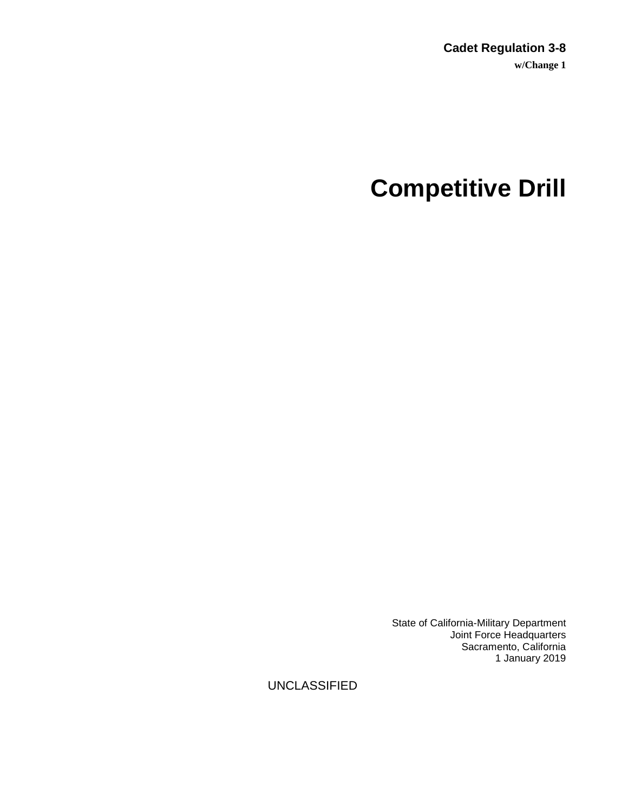# **Competitive Drill**

State of California-Military Department Joint Force Headquarters Sacramento, California 1 January 2019

UNCLASSIFIED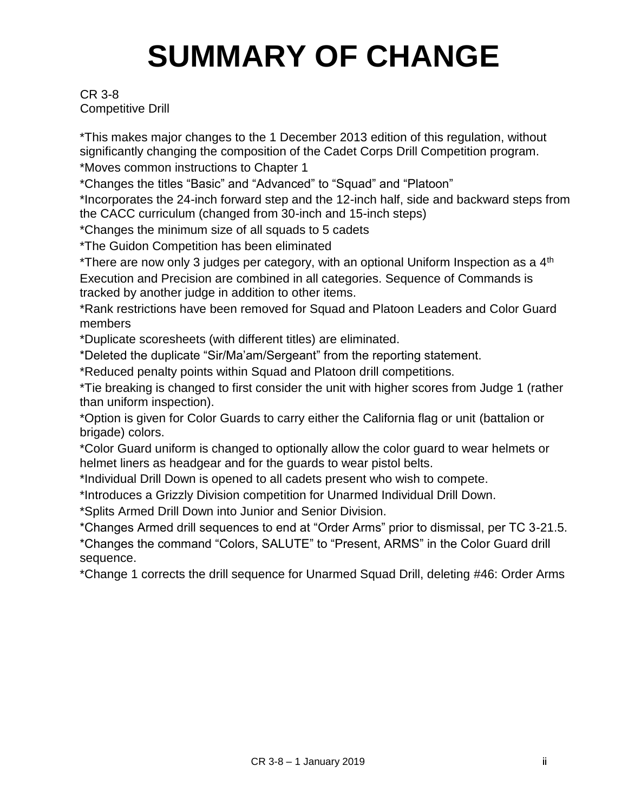# **SUMMARY OF CHANGE**

# CR 3-8 Competitive Drill

\*This makes major changes to the 1 December 2013 edition of this regulation, without significantly changing the composition of the Cadet Corps Drill Competition program. \*Moves common instructions to Chapter 1

\*Changes the titles "Basic" and "Advanced" to "Squad" and "Platoon"

\*Incorporates the 24-inch forward step and the 12-inch half, side and backward steps from the CACC curriculum (changed from 30-inch and 15-inch steps)

\*Changes the minimum size of all squads to 5 cadets

\*The Guidon Competition has been eliminated

\*There are now only 3 judges per category, with an optional Uniform Inspection as a 4<sup>th</sup> Execution and Precision are combined in all categories. Sequence of Commands is tracked by another judge in addition to other items.

\*Rank restrictions have been removed for Squad and Platoon Leaders and Color Guard members

\*Duplicate scoresheets (with different titles) are eliminated.

\*Deleted the duplicate "Sir/Ma'am/Sergeant" from the reporting statement.

\*Reduced penalty points within Squad and Platoon drill competitions.

\*Tie breaking is changed to first consider the unit with higher scores from Judge 1 (rather than uniform inspection).

\*Option is given for Color Guards to carry either the California flag or unit (battalion or brigade) colors.

\*Color Guard uniform is changed to optionally allow the color guard to wear helmets or helmet liners as headgear and for the guards to wear pistol belts.

\*Individual Drill Down is opened to all cadets present who wish to compete.

\*Introduces a Grizzly Division competition for Unarmed Individual Drill Down.

\*Splits Armed Drill Down into Junior and Senior Division.

\*Changes Armed drill sequences to end at "Order Arms" prior to dismissal, per TC 3-21.5. \*Changes the command "Colors, SALUTE" to "Present, ARMS" in the Color Guard drill sequence.

\*Change 1 corrects the drill sequence for Unarmed Squad Drill, deleting #46: Order Arms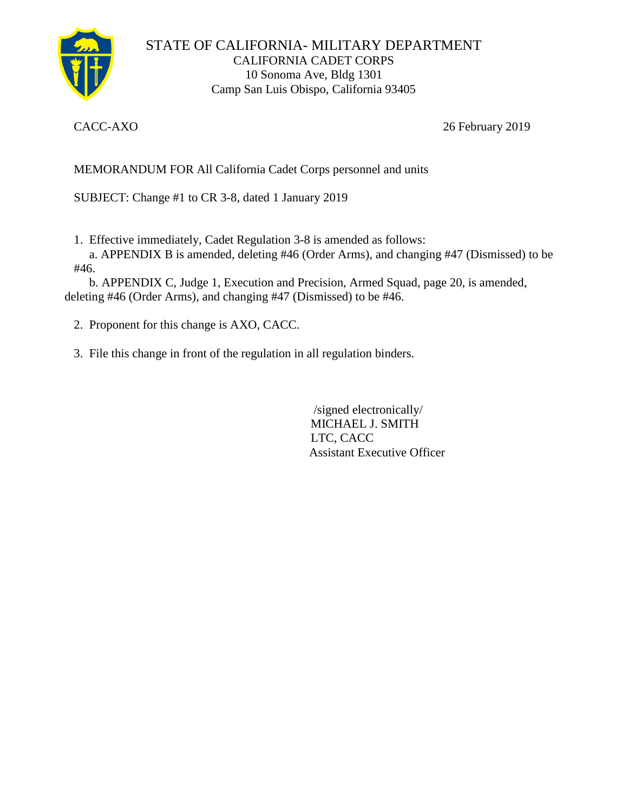

STATE OF CALIFORNIA- MILITARY DEPARTMENT CALIFORNIA CADET CORPS 10 Sonoma Ave, Bldg 1301 Camp San Luis Obispo, California 93405

CACC-AXO 26 February 2019

MEMORANDUM FOR All California Cadet Corps personnel and units

SUBJECT: Change #1 to CR 3-8, dated 1 January 2019

1. Effective immediately, Cadet Regulation 3-8 is amended as follows:

 a. APPENDIX B is amended, deleting #46 (Order Arms), and changing #47 (Dismissed) to be #46.

 b. APPENDIX C, Judge 1, Execution and Precision, Armed Squad, page 20, is amended, deleting #46 (Order Arms), and changing #47 (Dismissed) to be #46.

- 2. Proponent for this change is AXO, CACC.
- 3. File this change in front of the regulation in all regulation binders.

 /signed electronically/ MICHAEL J. SMITH LTC, CACC Assistant Executive Officer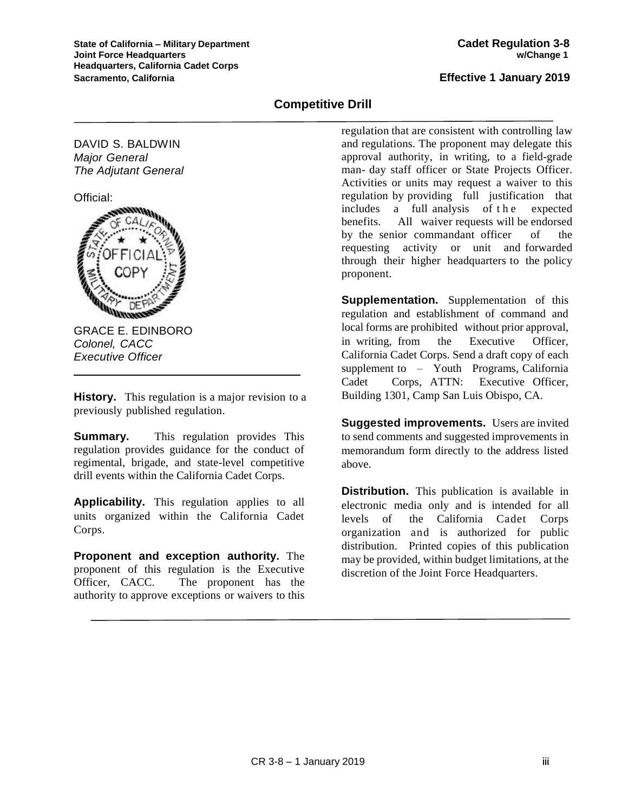# **Competitive Drill**

DAVID S. BALDWIN *Major General The Adjutant General*

Official:



GRACE E. EDINBORO *Colonel, CACC Executive Officer*

**History.** This regulation is a major revision to a previously published regulation.

**Summary.** This regulation provides This regulation provides guidance for the conduct of regimental, brigade, and state-level competitive drill events within the California Cadet Corps.

**Applicability.** This regulation applies to all units organized within the California Cadet Corps.

**Proponent and exception authority.** The proponent of this regulation is the Executive Officer, CACC. The proponent has the authority to approve exceptions or waivers to this regulation that are consistent with controlling law and regulations. The proponent may delegate this approval authority, in writing, to a field-grade man- day staff officer or State Projects Officer. Activities or units may request a waiver to this regulation by providing full justification that includes a full analysis of the expected benefits. All waiver requests will be endorsed by the senior commandant officer of the requesting activity or unit and forwarded through their higher headquarters to the policy proponent.

**Supplementation.** Supplementation of this regulation and establishment of command and local forms are prohibited without prior approval, in writing, from the Executive Officer, California Cadet Corps. Send a draft copy of each supplement to – Youth Programs, California Cadet Corps, ATTN: Executive Officer, Building 1301, Camp San Luis Obispo, CA.

**Suggested improvements.** Users are invited to send comments and suggested improvements in memorandum form directly to the address listed above.

**Distribution.** This publication is available in electronic media only and is intended for all levels of the California Cadet Corps organization and is authorized for public distribution. Printed copies of this publication may be provided, within budget limitations, at the discretion of the Joint Force Headquarters.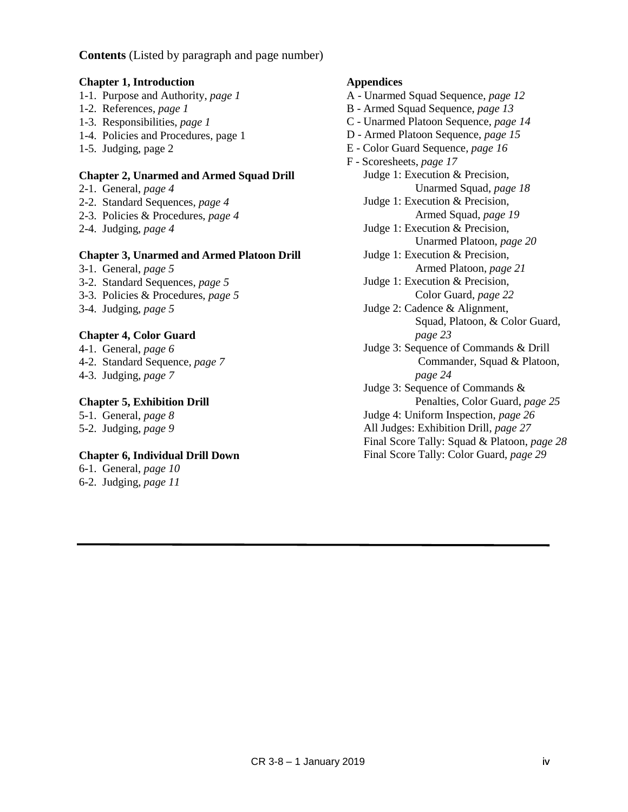**Contents** (Listed by paragraph and page number)

#### **Chapter 1, Introduction**

- 1-1. Purpose and Authority, *page 1*
- 1-2. References, *page 1*
- 1-3. Responsibilities, *page 1*
- 1-4. Policies and Procedures, page 1
- 1-5. Judging, page 2

#### **Chapter 2, Unarmed and Armed Squad Drill**

- 2-1. General, *page 4*
- 2-2. Standard Sequences, *page 4*
- 2-3. Policies & Procedures, *page 4*
- 2-4. Judging, *page 4*

#### **Chapter 3, Unarmed and Armed Platoon Drill**

- 3-1. General, *page 5*
- 3-2. Standard Sequences, *page 5*
- 3-3. Policies & Procedures, *page 5*
- 3-4. Judging, *page 5*

# **Chapter 4, Color Guard**

- 4-1. General, *page 6*
- 4-2. Standard Sequence, *page 7*
- 4-3. Judging, *page 7*

# **Chapter 5, Exhibition Drill**

5-1. General, *page 8* 5-2. Judging, *page 9*

# **Chapter 6, Individual Drill Down**

6-1. General, *page 10* 6-2. Judging, *page 11*

#### **Appendices**

- A Unarmed Squad Sequence, *page 12*
- B Armed Squad Sequence, *page 13*
- C Unarmed Platoon Sequence, *page 14*
- D Armed Platoon Sequence, *page 15*
- E Color Guard Sequence, *page 16*
- F Scoresheets, *page 17* Judge 1: Execution & Precision, Unarmed Squad, *page 18* Judge 1: Execution & Precision, Armed Squad, *page 19* Judge 1: Execution & Precision, Unarmed Platoon, *page 20* Judge 1: Execution & Precision, Armed Platoon, *page 21* Judge 1: Execution & Precision, Color Guard, *page 22* Judge 2: Cadence & Alignment, Squad, Platoon, & Color Guard, *page 23* Judge 3: Sequence of Commands & Drill Commander, Squad & Platoon, *page 24* Judge 3: Sequence of Commands &
	- Penalties, Color Guard, *page 25* Judge 4: Uniform Inspection, *page 26* All Judges: Exhibition Drill, *page 27*
	- Final Score Tally: Squad & Platoon, *page 28* Final Score Tally: Color Guard, *page 29*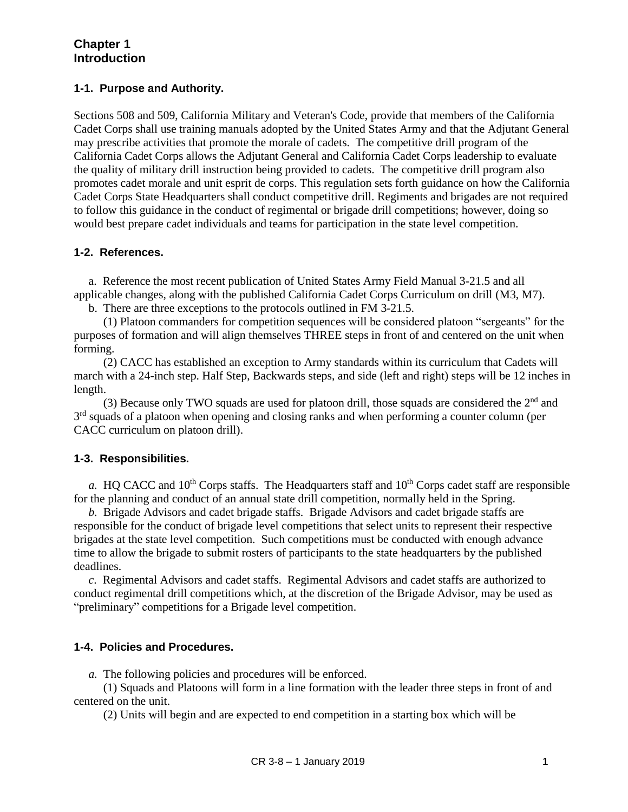# **Chapter 1 Introduction**

### **1-1. Purpose and Authority.**

Sections 508 and 509, California Military and Veteran's Code, provide that members of the California Cadet Corps shall use training manuals adopted by the United States Army and that the Adjutant General may prescribe activities that promote the morale of cadets. The competitive drill program of the California Cadet Corps allows the Adjutant General and California Cadet Corps leadership to evaluate the quality of military drill instruction being provided to cadets. The competitive drill program also promotes cadet morale and unit esprit de corps. This regulation sets forth guidance on how the California Cadet Corps State Headquarters shall conduct competitive drill. Regiments and brigades are not required to follow this guidance in the conduct of regimental or brigade drill competitions; however, doing so would best prepare cadet individuals and teams for participation in the state level competition.

#### **1-2. References.**

 a. Reference the most recent publication of United States Army Field Manual 3-21.5 and all applicable changes, along with the published California Cadet Corps Curriculum on drill (M3, M7).

b. There are three exceptions to the protocols outlined in FM 3-21.5.

 (1) Platoon commanders for competition sequences will be considered platoon "sergeants" for the purposes of formation and will align themselves THREE steps in front of and centered on the unit when forming.

 (2) CACC has established an exception to Army standards within its curriculum that Cadets will march with a 24-inch step. Half Step, Backwards steps, and side (left and right) steps will be 12 inches in length.

(3) Because only TWO squads are used for platoon drill, those squads are considered the  $2<sup>nd</sup>$  and 3<sup>rd</sup> squads of a platoon when opening and closing ranks and when performing a counter column (per CACC curriculum on platoon drill).

# **1-3. Responsibilities.**

*a.* HQ CACC and  $10<sup>th</sup>$  Corps staffs. The Headquarters staff and  $10<sup>th</sup>$  Corps cadet staff are responsible for the planning and conduct of an annual state drill competition, normally held in the Spring.

 *b.* Brigade Advisors and cadet brigade staffs. Brigade Advisors and cadet brigade staffs are responsible for the conduct of brigade level competitions that select units to represent their respective brigades at the state level competition. Such competitions must be conducted with enough advance time to allow the brigade to submit rosters of participants to the state headquarters by the published deadlines.

 *c*. Regimental Advisors and cadet staffs. Regimental Advisors and cadet staffs are authorized to conduct regimental drill competitions which, at the discretion of the Brigade Advisor, may be used as "preliminary" competitions for a Brigade level competition.

#### **1-4. Policies and Procedures.**

 *a.* The following policies and procedures will be enforced.

 (1) Squads and Platoons will form in a line formation with the leader three steps in front of and centered on the unit.

(2) Units will begin and are expected to end competition in a starting box which will be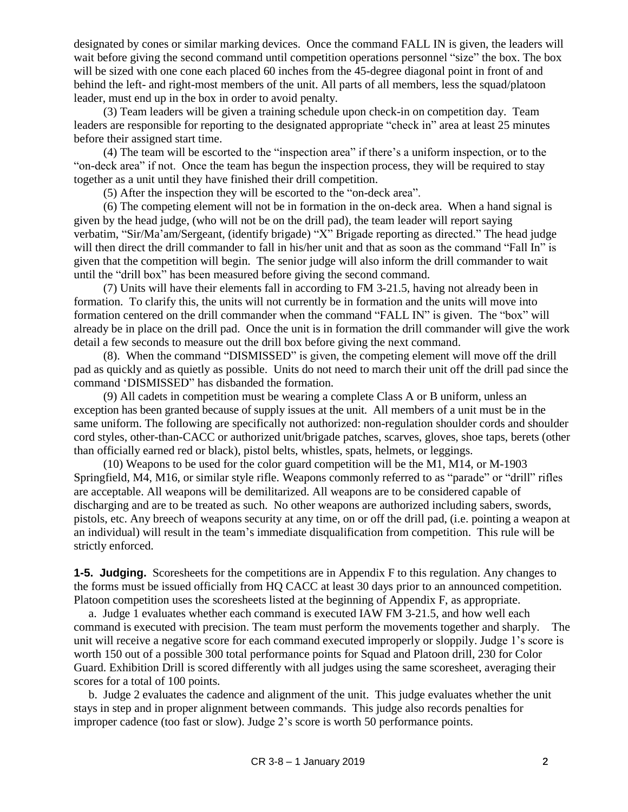designated by cones or similar marking devices. Once the command FALL IN is given, the leaders will wait before giving the second command until competition operations personnel "size" the box. The box will be sized with one cone each placed 60 inches from the 45-degree diagonal point in front of and behind the left- and right-most members of the unit. All parts of all members, less the squad/platoon leader, must end up in the box in order to avoid penalty.

 (3) Team leaders will be given a training schedule upon check-in on competition day. Team leaders are responsible for reporting to the designated appropriate "check in" area at least 25 minutes before their assigned start time.

 (4) The team will be escorted to the "inspection area" if there's a uniform inspection, or to the "on-deck area" if not. Once the team has begun the inspection process, they will be required to stay together as a unit until they have finished their drill competition.

(5) After the inspection they will be escorted to the "on-deck area".

 (6) The competing element will not be in formation in the on-deck area. When a hand signal is given by the head judge, (who will not be on the drill pad), the team leader will report saying verbatim, "Sir/Ma'am/Sergeant, (identify brigade) "X" Brigade reporting as directed." The head judge will then direct the drill commander to fall in his/her unit and that as soon as the command "Fall In" is given that the competition will begin. The senior judge will also inform the drill commander to wait until the "drill box" has been measured before giving the second command.

 (7) Units will have their elements fall in according to FM 3-21.5, having not already been in formation. To clarify this, the units will not currently be in formation and the units will move into formation centered on the drill commander when the command "FALL IN" is given. The "box" will already be in place on the drill pad. Once the unit is in formation the drill commander will give the work detail a few seconds to measure out the drill box before giving the next command.

 (8). When the command "DISMISSED" is given, the competing element will move off the drill pad as quickly and as quietly as possible. Units do not need to march their unit off the drill pad since the command 'DISMISSED" has disbanded the formation.

 (9) All cadets in competition must be wearing a complete Class A or B uniform, unless an exception has been granted because of supply issues at the unit. All members of a unit must be in the same uniform. The following are specifically not authorized: non-regulation shoulder cords and shoulder cord styles, other-than-CACC or authorized unit/brigade patches, scarves, gloves, shoe taps, berets (other than officially earned red or black), pistol belts, whistles, spats, helmets, or leggings.

 (10) Weapons to be used for the color guard competition will be the M1, M14, or M-1903 Springfield, M4, M16, or similar style rifle. Weapons commonly referred to as "parade" or "drill" rifles are acceptable. All weapons will be demilitarized. All weapons are to be considered capable of discharging and are to be treated as such. No other weapons are authorized including sabers, swords, pistols, etc. Any breech of weapons security at any time, on or off the drill pad, (i.e. pointing a weapon at an individual) will result in the team's immediate disqualification from competition. This rule will be strictly enforced.

**1-5. Judging.** Scoresheets for the competitions are in Appendix F to this regulation. Any changes to the forms must be issued officially from HQ CACC at least 30 days prior to an announced competition. Platoon competition uses the scoresheets listed at the beginning of Appendix F, as appropriate.

 a. Judge 1 evaluates whether each command is executed IAW FM 3-21.5, and how well each command is executed with precision. The team must perform the movements together and sharply. The unit will receive a negative score for each command executed improperly or sloppily. Judge 1's score is worth 150 out of a possible 300 total performance points for Squad and Platoon drill, 230 for Color Guard. Exhibition Drill is scored differently with all judges using the same scoresheet, averaging their scores for a total of 100 points.

 b. Judge 2 evaluates the cadence and alignment of the unit. This judge evaluates whether the unit stays in step and in proper alignment between commands. This judge also records penalties for improper cadence (too fast or slow). Judge 2's score is worth 50 performance points.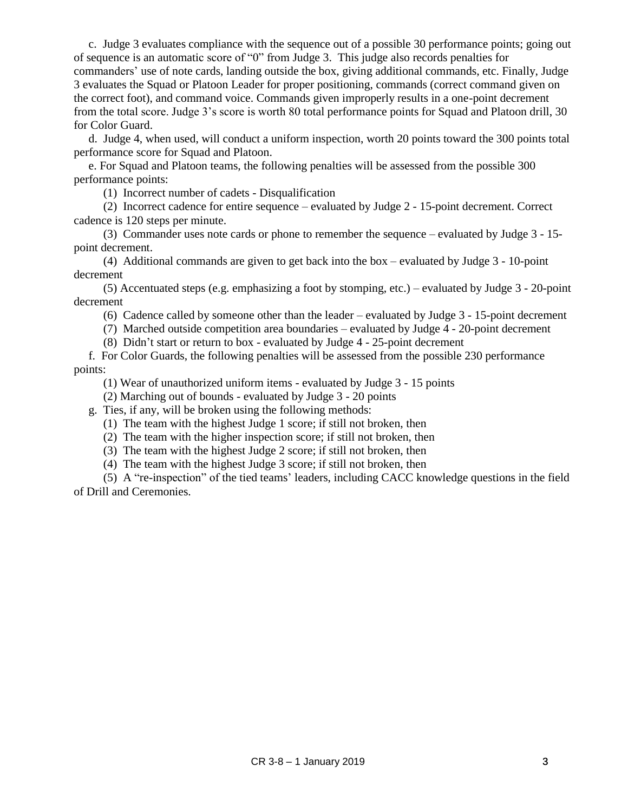c. Judge 3 evaluates compliance with the sequence out of a possible 30 performance points; going out of sequence is an automatic score of "0" from Judge 3. This judge also records penalties for commanders' use of note cards, landing outside the box, giving additional commands, etc. Finally, Judge 3 evaluates the Squad or Platoon Leader for proper positioning, commands (correct command given on the correct foot), and command voice. Commands given improperly results in a one-point decrement from the total score. Judge 3's score is worth 80 total performance points for Squad and Platoon drill, 30 for Color Guard.

 d. Judge 4, when used, will conduct a uniform inspection, worth 20 points toward the 300 points total performance score for Squad and Platoon.

 e. For Squad and Platoon teams, the following penalties will be assessed from the possible 300 performance points:

(1) Incorrect number of cadets - Disqualification

 (2) Incorrect cadence for entire sequence – evaluated by Judge 2 - 15-point decrement. Correct cadence is 120 steps per minute.

 (3) Commander uses note cards or phone to remember the sequence – evaluated by Judge 3 - 15 point decrement.

 (4) Additional commands are given to get back into the box – evaluated by Judge 3 - 10-point decrement

 (5) Accentuated steps (e.g. emphasizing a foot by stomping, etc.) – evaluated by Judge 3 - 20-point decrement

(6) Cadence called by someone other than the leader – evaluated by Judge 3 - 15-point decrement

(7) Marched outside competition area boundaries – evaluated by Judge 4 - 20-point decrement

(8) Didn't start or return to box - evaluated by Judge 4 - 25-point decrement

 f. For Color Guards, the following penalties will be assessed from the possible 230 performance points:

(1) Wear of unauthorized uniform items - evaluated by Judge 3 - 15 points

(2) Marching out of bounds - evaluated by Judge 3 - 20 points

g. Ties, if any, will be broken using the following methods:

(1) The team with the highest Judge 1 score; if still not broken, then

(2) The team with the higher inspection score; if still not broken, then

(3) The team with the highest Judge 2 score; if still not broken, then

(4) The team with the highest Judge 3 score; if still not broken, then

 (5) A "re-inspection" of the tied teams' leaders, including CACC knowledge questions in the field of Drill and Ceremonies.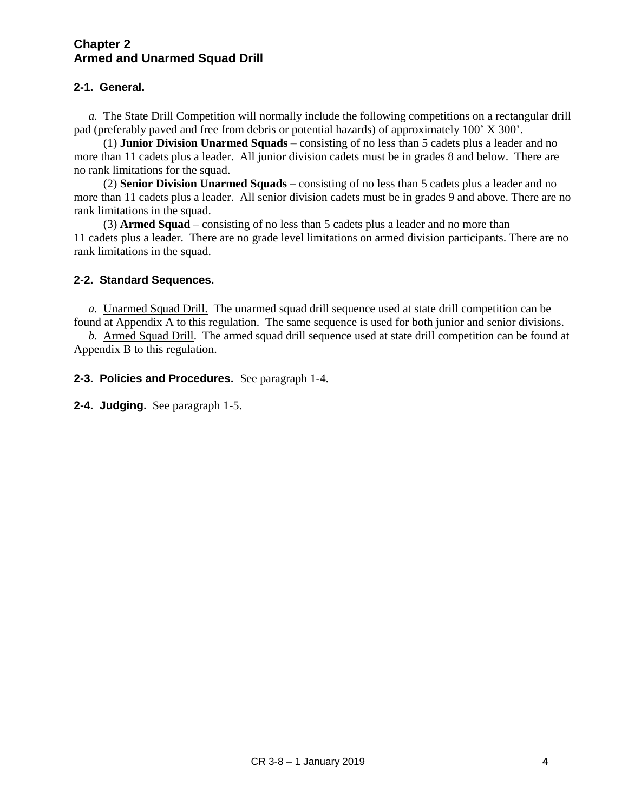# **Chapter 2 Armed and Unarmed Squad Drill**

# **2-1. General.**

 *a.* The State Drill Competition will normally include the following competitions on a rectangular drill pad (preferably paved and free from debris or potential hazards) of approximately 100' X 300'.

 (1) **Junior Division Unarmed Squads** – consisting of no less than 5 cadets plus a leader and no more than 11 cadets plus a leader. All junior division cadets must be in grades 8 and below. There are no rank limitations for the squad.

 (2) **Senior Division Unarmed Squads** – consisting of no less than 5 cadets plus a leader and no more than 11 cadets plus a leader. All senior division cadets must be in grades 9 and above. There are no rank limitations in the squad.

 (3) **Armed Squad** – consisting of no less than 5 cadets plus a leader and no more than 11 cadets plus a leader. There are no grade level limitations on armed division participants. There are no rank limitations in the squad.

# **2-2. Standard Sequences.**

 *a.* Unarmed Squad Drill. The unarmed squad drill sequence used at state drill competition can be found at Appendix A to this regulation. The same sequence is used for both junior and senior divisions.

 *b.* Armed Squad Drill. The armed squad drill sequence used at state drill competition can be found at Appendix B to this regulation.

**2-3. Policies and Procedures.** See paragraph 1-4.

**2-4. Judging.** See paragraph 1-5.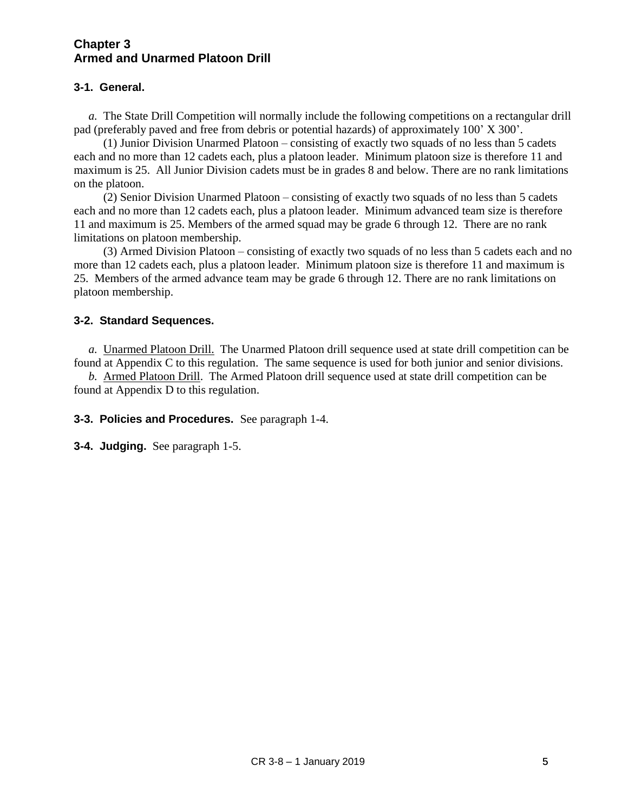# **Chapter 3 Armed and Unarmed Platoon Drill**

# **3-1. General.**

 *a.* The State Drill Competition will normally include the following competitions on a rectangular drill pad (preferably paved and free from debris or potential hazards) of approximately 100' X 300'.

 (1) Junior Division Unarmed Platoon – consisting of exactly two squads of no less than 5 cadets each and no more than 12 cadets each, plus a platoon leader. Minimum platoon size is therefore 11 and maximum is 25. All Junior Division cadets must be in grades 8 and below. There are no rank limitations on the platoon.

 (2) Senior Division Unarmed Platoon – consisting of exactly two squads of no less than 5 cadets each and no more than 12 cadets each, plus a platoon leader. Minimum advanced team size is therefore 11 and maximum is 25. Members of the armed squad may be grade 6 through 12. There are no rank limitations on platoon membership.

 (3) Armed Division Platoon – consisting of exactly two squads of no less than 5 cadets each and no more than 12 cadets each, plus a platoon leader. Minimum platoon size is therefore 11 and maximum is 25. Members of the armed advance team may be grade 6 through 12. There are no rank limitations on platoon membership.

# **3-2. Standard Sequences.**

 *a.* Unarmed Platoon Drill. The Unarmed Platoon drill sequence used at state drill competition can be found at Appendix C to this regulation. The same sequence is used for both junior and senior divisions.

 *b.* Armed Platoon Drill. The Armed Platoon drill sequence used at state drill competition can be found at Appendix D to this regulation.

**3-3. Policies and Procedures.** See paragraph 1-4.

**3-4. Judging.** See paragraph 1-5.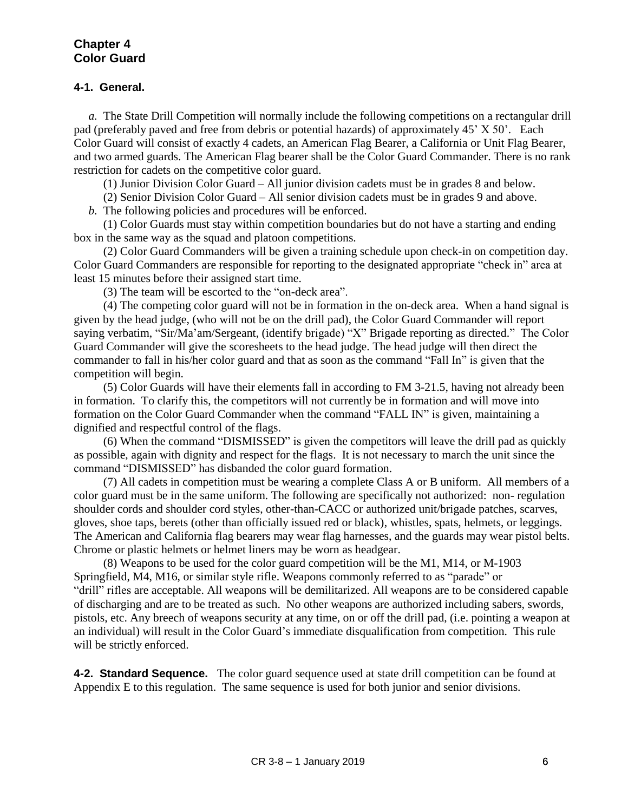### **4-1. General.**

 *a.* The State Drill Competition will normally include the following competitions on a rectangular drill pad (preferably paved and free from debris or potential hazards) of approximately 45' X 50'. Each Color Guard will consist of exactly 4 cadets, an American Flag Bearer, a California or Unit Flag Bearer, and two armed guards. The American Flag bearer shall be the Color Guard Commander. There is no rank restriction for cadets on the competitive color guard.

(1) Junior Division Color Guard – All junior division cadets must be in grades 8 and below.

(2) Senior Division Color Guard – All senior division cadets must be in grades 9 and above.

 *b.* The following policies and procedures will be enforced.

 (1) Color Guards must stay within competition boundaries but do not have a starting and ending box in the same way as the squad and platoon competitions.

 (2) Color Guard Commanders will be given a training schedule upon check-in on competition day. Color Guard Commanders are responsible for reporting to the designated appropriate "check in" area at least 15 minutes before their assigned start time.

(3) The team will be escorted to the "on-deck area".

 (4) The competing color guard will not be in formation in the on-deck area. When a hand signal is given by the head judge, (who will not be on the drill pad), the Color Guard Commander will report saying verbatim, "Sir/Ma'am/Sergeant, (identify brigade) "X" Brigade reporting as directed." The Color Guard Commander will give the scoresheets to the head judge. The head judge will then direct the commander to fall in his/her color guard and that as soon as the command "Fall In" is given that the competition will begin.

 (5) Color Guards will have their elements fall in according to FM 3-21.5, having not already been in formation. To clarify this, the competitors will not currently be in formation and will move into formation on the Color Guard Commander when the command "FALL IN" is given, maintaining a dignified and respectful control of the flags.

 (6) When the command "DISMISSED" is given the competitors will leave the drill pad as quickly as possible, again with dignity and respect for the flags. It is not necessary to march the unit since the command "DISMISSED" has disbanded the color guard formation.

 (7) All cadets in competition must be wearing a complete Class A or B uniform. All members of a color guard must be in the same uniform. The following are specifically not authorized: non- regulation shoulder cords and shoulder cord styles, other-than-CACC or authorized unit/brigade patches, scarves, gloves, shoe taps, berets (other than officially issued red or black), whistles, spats, helmets, or leggings. The American and California flag bearers may wear flag harnesses, and the guards may wear pistol belts. Chrome or plastic helmets or helmet liners may be worn as headgear.

 (8) Weapons to be used for the color guard competition will be the M1, M14, or M-1903 Springfield, M4, M16, or similar style rifle. Weapons commonly referred to as "parade" or "drill" rifles are acceptable. All weapons will be demilitarized. All weapons are to be considered capable of discharging and are to be treated as such. No other weapons are authorized including sabers, swords, pistols, etc. Any breech of weapons security at any time, on or off the drill pad, (i.e. pointing a weapon at an individual) will result in the Color Guard's immediate disqualification from competition. This rule will be strictly enforced.

**4-2. Standard Sequence.** The color guard sequence used at state drill competition can be found at Appendix E to this regulation. The same sequence is used for both junior and senior divisions.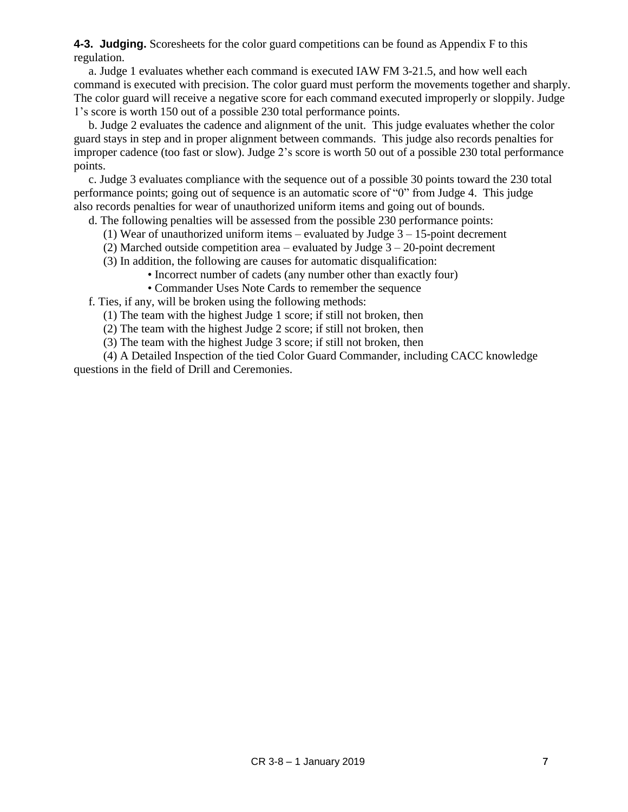**4-3. Judging.** Scoresheets for the color guard competitions can be found as Appendix F to this regulation.

 a. Judge 1 evaluates whether each command is executed IAW FM 3-21.5, and how well each command is executed with precision. The color guard must perform the movements together and sharply. The color guard will receive a negative score for each command executed improperly or sloppily. Judge 1's score is worth 150 out of a possible 230 total performance points.

 b. Judge 2 evaluates the cadence and alignment of the unit. This judge evaluates whether the color guard stays in step and in proper alignment between commands. This judge also records penalties for improper cadence (too fast or slow). Judge 2's score is worth 50 out of a possible 230 total performance points.

 c. Judge 3 evaluates compliance with the sequence out of a possible 30 points toward the 230 total performance points; going out of sequence is an automatic score of "0" from Judge 4. This judge also records penalties for wear of unauthorized uniform items and going out of bounds.

d. The following penalties will be assessed from the possible 230 performance points:

- (1) Wear of unauthorized uniform items evaluated by Judge  $3 15$ -point decrement
- (2) Marched outside competition area evaluated by Judge  $3 20$ -point decrement
- (3) In addition, the following are causes for automatic disqualification:
	- Incorrect number of cadets (any number other than exactly four)
	- Commander Uses Note Cards to remember the sequence

f. Ties, if any, will be broken using the following methods:

- (1) The team with the highest Judge 1 score; if still not broken, then
- (2) The team with the highest Judge 2 score; if still not broken, then
- (3) The team with the highest Judge 3 score; if still not broken, then

 (4) A Detailed Inspection of the tied Color Guard Commander, including CACC knowledge questions in the field of Drill and Ceremonies.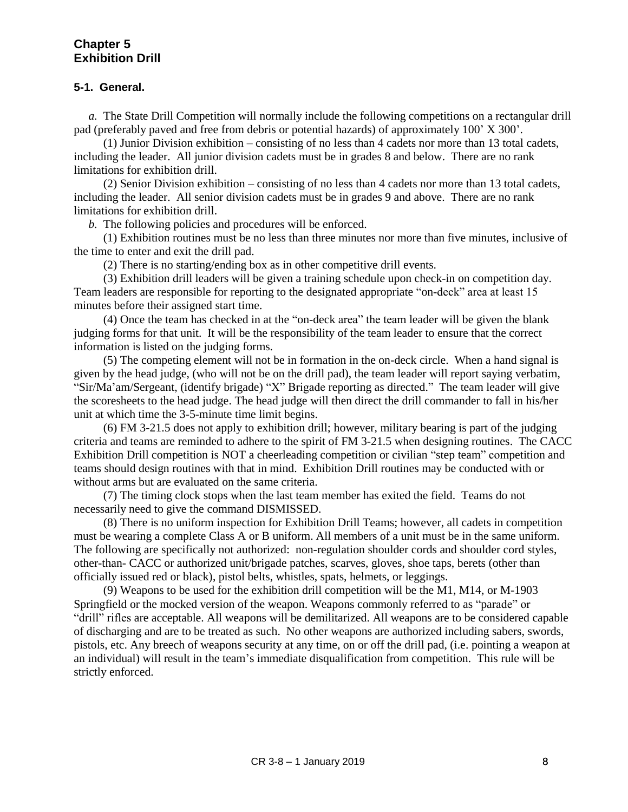# **Chapter 5 Exhibition Drill**

#### **5-1. General.**

 *a.* The State Drill Competition will normally include the following competitions on a rectangular drill pad (preferably paved and free from debris or potential hazards) of approximately 100' X 300'.

 (1) Junior Division exhibition – consisting of no less than 4 cadets nor more than 13 total cadets, including the leader. All junior division cadets must be in grades 8 and below. There are no rank limitations for exhibition drill.

 (2) Senior Division exhibition – consisting of no less than 4 cadets nor more than 13 total cadets, including the leader. All senior division cadets must be in grades 9 and above. There are no rank limitations for exhibition drill.

 *b.* The following policies and procedures will be enforced.

 (1) Exhibition routines must be no less than three minutes nor more than five minutes, inclusive of the time to enter and exit the drill pad.

(2) There is no starting/ending box as in other competitive drill events.

 (3) Exhibition drill leaders will be given a training schedule upon check-in on competition day. Team leaders are responsible for reporting to the designated appropriate "on-deck" area at least 15 minutes before their assigned start time.

 (4) Once the team has checked in at the "on-deck area" the team leader will be given the blank judging forms for that unit. It will be the responsibility of the team leader to ensure that the correct information is listed on the judging forms.

 (5) The competing element will not be in formation in the on-deck circle. When a hand signal is given by the head judge, (who will not be on the drill pad), the team leader will report saying verbatim, "Sir/Ma'am/Sergeant, (identify brigade) "X" Brigade reporting as directed." The team leader will give the scoresheets to the head judge. The head judge will then direct the drill commander to fall in his/her unit at which time the 3-5-minute time limit begins.

 (6) FM 3-21.5 does not apply to exhibition drill; however, military bearing is part of the judging criteria and teams are reminded to adhere to the spirit of FM 3-21.5 when designing routines. The CACC Exhibition Drill competition is NOT a cheerleading competition or civilian "step team" competition and teams should design routines with that in mind. Exhibition Drill routines may be conducted with or without arms but are evaluated on the same criteria.

 (7) The timing clock stops when the last team member has exited the field. Teams do not necessarily need to give the command DISMISSED.

 (8) There is no uniform inspection for Exhibition Drill Teams; however, all cadets in competition must be wearing a complete Class A or B uniform. All members of a unit must be in the same uniform. The following are specifically not authorized: non-regulation shoulder cords and shoulder cord styles, other-than- CACC or authorized unit/brigade patches, scarves, gloves, shoe taps, berets (other than officially issued red or black), pistol belts, whistles, spats, helmets, or leggings.

 (9) Weapons to be used for the exhibition drill competition will be the M1, M14, or M-1903 Springfield or the mocked version of the weapon. Weapons commonly referred to as "parade" or "drill" rifles are acceptable. All weapons will be demilitarized. All weapons are to be considered capable of discharging and are to be treated as such. No other weapons are authorized including sabers, swords, pistols, etc. Any breech of weapons security at any time, on or off the drill pad, (i.e. pointing a weapon at an individual) will result in the team's immediate disqualification from competition. This rule will be strictly enforced.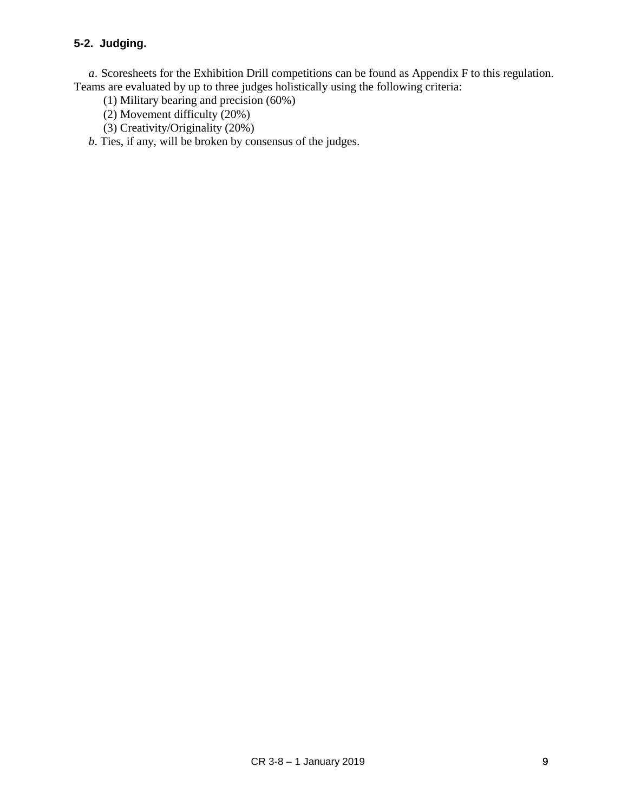# **5-2. Judging.**

 *a*. Scoresheets for the Exhibition Drill competitions can be found as Appendix F to this regulation. Teams are evaluated by up to three judges holistically using the following criteria:

- (1) Military bearing and precision (60%)
- (2) Movement difficulty (20%)
- (3) Creativity/Originality (20%)
- *b*. Ties, if any, will be broken by consensus of the judges.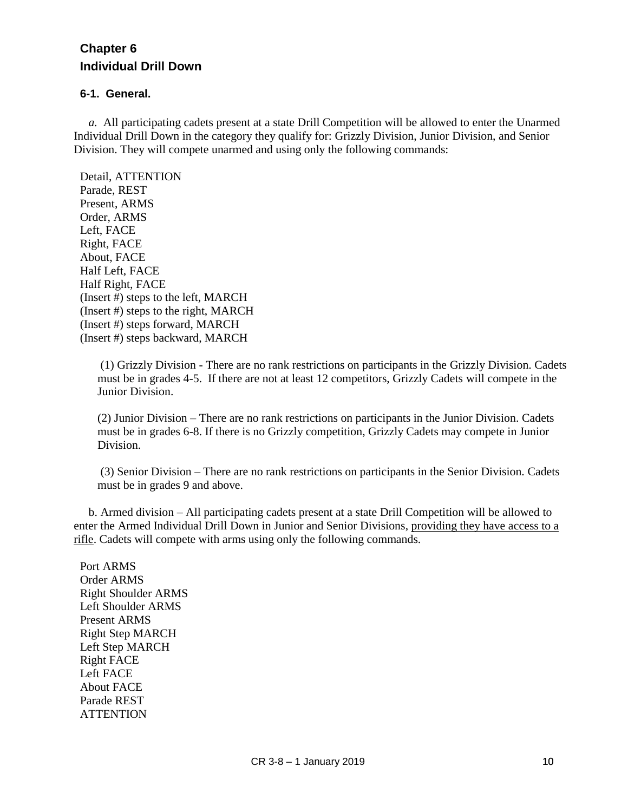# **Chapter 6 Individual Drill Down**

# **6-1. General.**

 *a.* All participating cadets present at a state Drill Competition will be allowed to enter the Unarmed Individual Drill Down in the category they qualify for: Grizzly Division, Junior Division, and Senior Division. They will compete unarmed and using only the following commands:

Detail, ATTENTION Parade, REST Present, ARMS Order, ARMS Left, FACE Right, FACE About, FACE Half Left, FACE Half Right, FACE (Insert #) steps to the left, MARCH (Insert #) steps to the right, MARCH (Insert #) steps forward, MARCH (Insert #) steps backward, MARCH

(1) Grizzly Division - There are no rank restrictions on participants in the Grizzly Division. Cadets must be in grades 4-5. If there are not at least 12 competitors, Grizzly Cadets will compete in the Junior Division.

(2) Junior Division – There are no rank restrictions on participants in the Junior Division. Cadets must be in grades 6-8. If there is no Grizzly competition, Grizzly Cadets may compete in Junior Division.

(3) Senior Division – There are no rank restrictions on participants in the Senior Division. Cadets must be in grades 9 and above.

 b. Armed division – All participating cadets present at a state Drill Competition will be allowed to enter the Armed Individual Drill Down in Junior and Senior Divisions, providing they have access to a rifle. Cadets will compete with arms using only the following commands.

Port ARMS Order ARMS Right Shoulder ARMS Left Shoulder ARMS Present ARMS Right Step MARCH Left Step MARCH Right FACE Left FACE About FACE Parade REST **ATTENTION**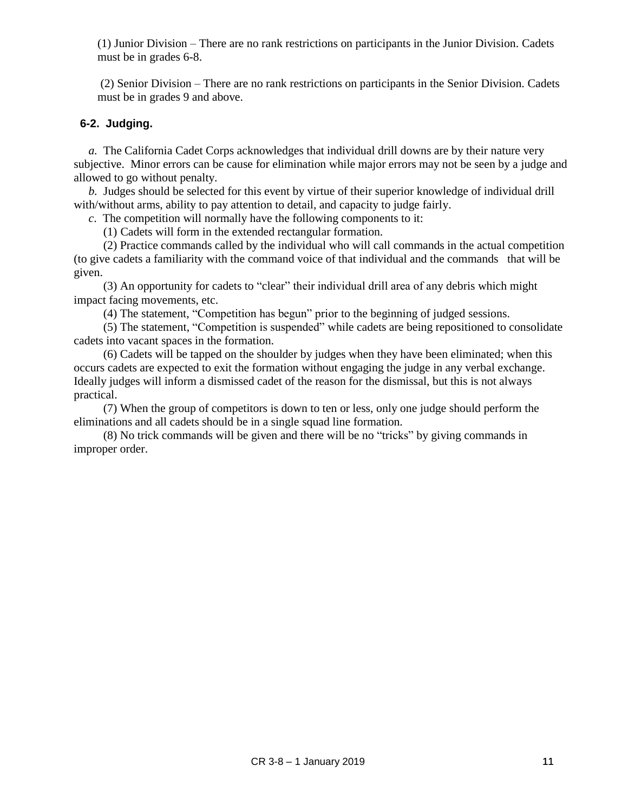(1) Junior Division – There are no rank restrictions on participants in the Junior Division. Cadets must be in grades 6-8.

(2) Senior Division – There are no rank restrictions on participants in the Senior Division. Cadets must be in grades 9 and above.

#### **6-2. Judging.**

 *a.* The California Cadet Corps acknowledges that individual drill downs are by their nature very subjective. Minor errors can be cause for elimination while major errors may not be seen by a judge and allowed to go without penalty.

 *b.* Judges should be selected for this event by virtue of their superior knowledge of individual drill with/without arms, ability to pay attention to detail, and capacity to judge fairly.

 *c*. The competition will normally have the following components to it:

(1) Cadets will form in the extended rectangular formation.

 (2) Practice commands called by the individual who will call commands in the actual competition (to give cadets a familiarity with the command voice of that individual and the commands that will be given.

 (3) An opportunity for cadets to "clear" their individual drill area of any debris which might impact facing movements, etc.

(4) The statement, "Competition has begun" prior to the beginning of judged sessions.

 (5) The statement, "Competition is suspended" while cadets are being repositioned to consolidate cadets into vacant spaces in the formation.

 (6) Cadets will be tapped on the shoulder by judges when they have been eliminated; when this occurs cadets are expected to exit the formation without engaging the judge in any verbal exchange. Ideally judges will inform a dismissed cadet of the reason for the dismissal, but this is not always practical.

 (7) When the group of competitors is down to ten or less, only one judge should perform the eliminations and all cadets should be in a single squad line formation.

 (8) No trick commands will be given and there will be no "tricks" by giving commands in improper order.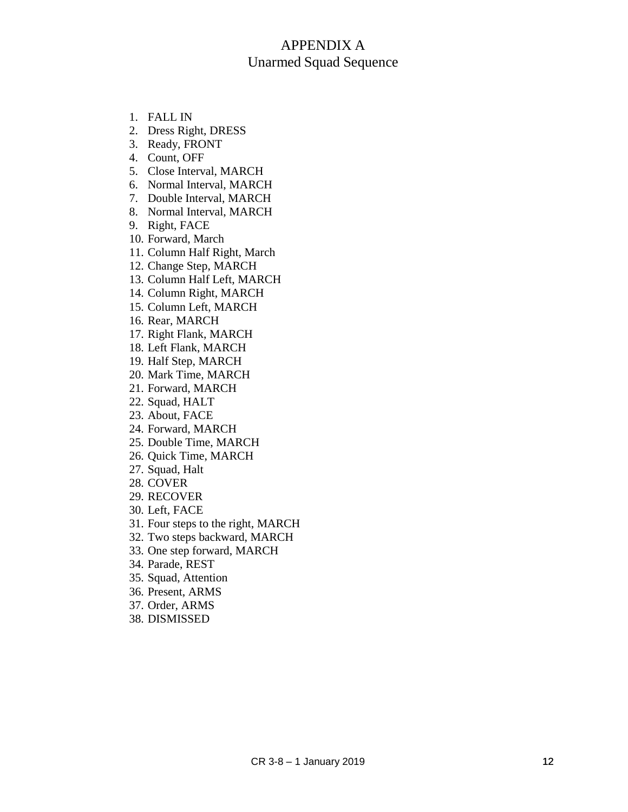# APPENDIX A Unarmed Squad Sequence

- 1. FALL IN
- 2. Dress Right, DRESS
- 3. Ready, FRONT
- 4. Count, OFF
- 5. Close Interval, MARCH
- 6. Normal Interval, MARCH
- 7. Double Interval, MARCH
- 8. Normal Interval, MARCH
- 9. Right, FACE
- 10. Forward, March
- 11. Column Half Right, March
- 12. Change Step, MARCH
- 13. Column Half Left, MARCH
- 14. Column Right, MARCH
- 15. Column Left, MARCH
- 16. Rear, MARCH
- 17. Right Flank, MARCH
- 18. Left Flank, MARCH
- 19. Half Step, MARCH
- 20. Mark Time, MARCH
- 21. Forward, MARCH
- 22. Squad, HALT
- 23. About, FACE
- 24. Forward, MARCH
- 25. Double Time, MARCH
- 26. Quick Time, MARCH
- 27. Squad, Halt
- 28. COVER
- 29. RECOVER
- 30. Left, FACE
- 31. Four steps to the right, MARCH
- 32. Two steps backward, MARCH
- 33. One step forward, MARCH
- 34. Parade, REST
- 35. Squad, Attention
- 36. Present, ARMS
- 37. Order, ARMS
- 38. DISMISSED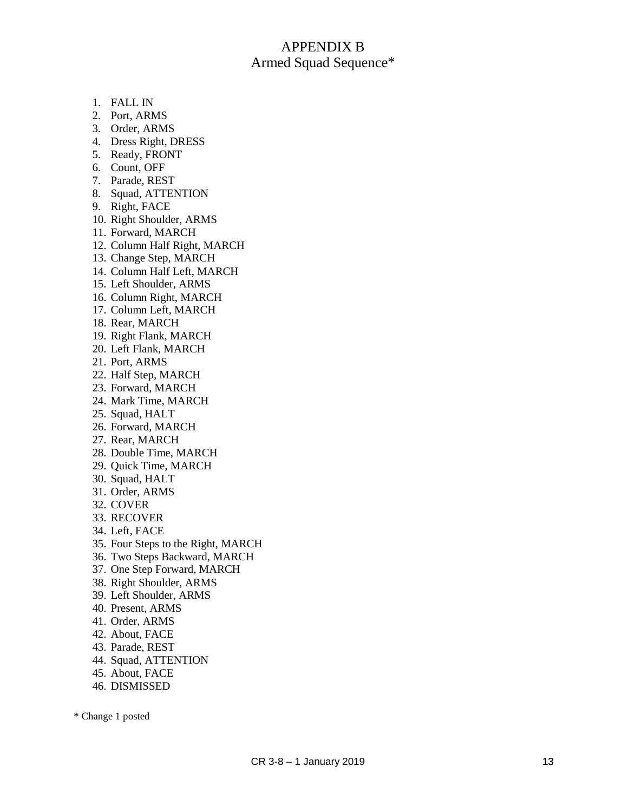# APPENDIX B Armed Squad Sequence\*

- 1. FALL IN
- 2. Port, ARMS
- 3. Order, ARMS
- 4. Dress Right, DRESS
- 5. Ready, FRONT
- 6. Count, OFF
- 7. Parade, REST
- 8. Squad, ATTENTION
- 9. Right, FACE
- 10. Right Shoulder, ARMS
- 11. Forward, MARCH
- 12. Column Half Right, MARCH
- 13. Change Step, MARCH
- 14. Column Half Left, MARCH
- 15. Left Shoulder, ARMS
- 16. Column Right, MARCH
- 17. Column Left, MARCH
- 18. Rear, MARCH
- 19. Right Flank, MARCH
- 20. Left Flank, MARCH
- 21. Port, ARMS
- 22. Half Step, MARCH
- 23. Forward, MARCH
- 24. Mark Time, MARCH
- 25. Squad, HALT
- 26. Forward, MARCH
- 27. Rear, MARCH
- 28. Double Time, MARCH
- 29. Quick Time, MARCH
- 30. Squad, HALT
- 31. Order, ARMS
- 32. COVER
- 33. RECOVER
- 34. Left, FACE
- 35. Four Steps to the Right, MARCH
- 36. Two Steps Backward, MARCH
- 37. One Step Forward, MARCH
- 38. Right Shoulder, ARMS
- 39. Left Shoulder, ARMS
- 40. Present, ARMS
- 41. Order, ARMS
- 42. About, FACE
- 43. Parade, REST
- 44. Squad, ATTENTION
- 45. About, FACE
- 46. DISMISSED

\* Change 1 posted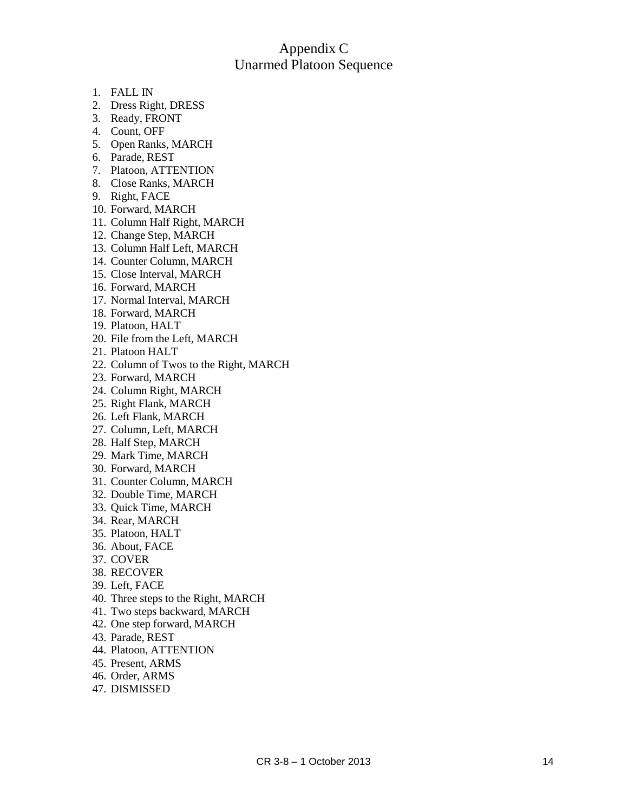# App endix C Unarmed Platoon Sequence

- 1. FALL IN
- 2. Dress Right, DRESS
- 3. Rea d y , FRONT
- 4. Count, OFF
- 5. O pen Ranks, MARCH
- 6. Para de, RE S T
- 7. Platoon , ATTE NTION
- 8. Cl ose Ranks, MARCH
- 9. Right, FACE
- 10. Forward, MARCH
- 11. Column Half Right, MARCH
- 12. C h ang e Ste p , MARCH
- 13. Column Half Left, MARCH
- 14. Counter Column, MARCH
- 15. Cl ose I nterval, MARCH
- 16. F orwar d , MARCH
- 17. Nor mal I nterval, MARCH
- 18. Forward, MARCH
- 19. Platoon , HALT
- 20. File fr o m t h e Left, MAR C H
- 21. Platoon HALT
- 22. Column of Twos to the Right, MARCH
- 23. F orwar d , MARCH
- 24. Column Right, MARCH
- 25. Righ t Flank , MARCH
- 26. Left Flank , MARCH
- 27. Column, Left, MARCH
- 28. Half Ste p , MARCH
- 29. Mark Time, MARCH
- 30. F orwar d , MARCH
- 31. Counter Column, MARCH
- 32. Double Ti me, MARCH
- 33. Q uick Time, MARCH
- 34. Rear, MARC H
- 35. Platoon , HALT
- 36. About, FACE
- 37. COVER
- 38. RECOV E R
- 39. Left, FACE
- 40. T hree ste p s to t h e Right, MARCH
- 41. Two steps backward, MARCH
- 42. One step forward, MARCH
- 43. Para de, RE S T
- 44. Platoon , ATTE NTION
- 45. Present, ARMS
- 46. Or der, AR M S
- 47. DISMISSED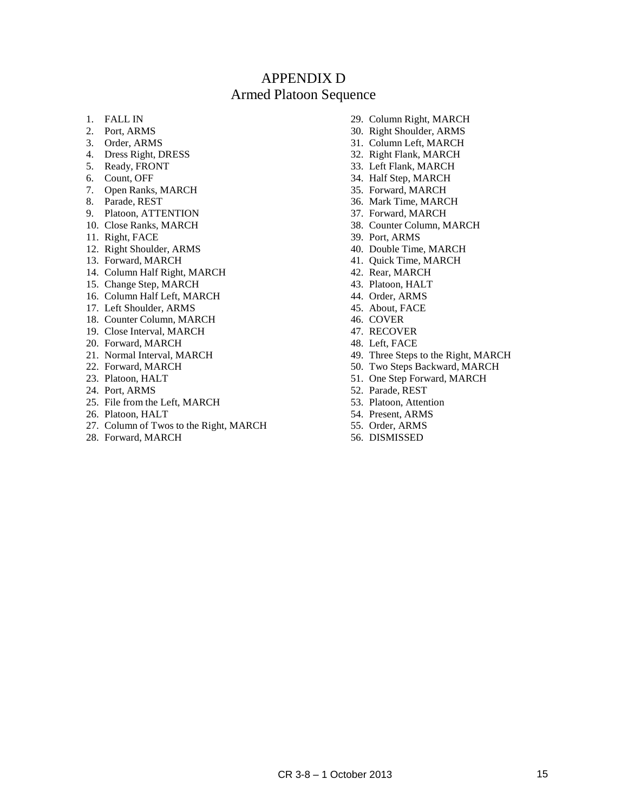# APPENDIX D Armed Platoon Sequence

- 1. FALL IN
- 2. Port, ARMS
- 3. Order, ARMS
- 4. Dress Right, DRESS
- 5. Ready, FRONT
- 6. Count, OFF
- 7. Open Ranks, MARCH
- 8. Parade, REST
- 9. Platoon, ATTENTION
- 10. Close Ranks, MARCH
- 11. Right, FACE
- 12. Right Shoulder, ARMS
- 13. Forward, MARCH
- 14. Column Half Right, MARCH
- 15. Change Step, MARCH
- 16. Column Half Left, MARCH
- 17. Left Shoulder, ARMS
- 18. Counter Column, MARCH
- 19. Close Interval, MARCH
- 20. Forward, MARCH
- 21. Normal Interval, MARCH
- 22. Forward, MARCH
- 23. Platoon, HALT
- 24. Port, ARMS
- 25. File from the Left, MARCH
- 26. Platoon, HALT
- 27. Column of Twos to the Right, MARCH
- 28. Forward, MARCH
- 29. Column Right, MARCH
- 30. Right Shoulder, ARMS
- 31. Column Left, MARCH
- 32. Right Flank, MARCH
- 33. Left Flank, MARCH
- 34. Half Step, MARCH
- 35. Forward, MARCH
- 36. Mark Time, MARCH
- 37. Forward, MARCH
- 38. Counter Column, MARCH
- 39. Port, ARMS
- 40. Double Time, MARCH
- 41. Quick Time, MARCH
- 42. Rear, MARCH
- 43. Platoon, HALT
- 44. Order, ARMS
- 45. About, FACE
- 46. COVER
- 47. RECOVER 48. Left, FACE
- 
- 49. Three Steps to the Right, MARCH 50. Two Steps Backward, MARCH
- 51. One Step Forward, MARCH
- 52. Parade, REST
- 53. Platoon, Attention
- 54. Present, ARMS
- 55. Order, ARMS
- 56. DISMISSED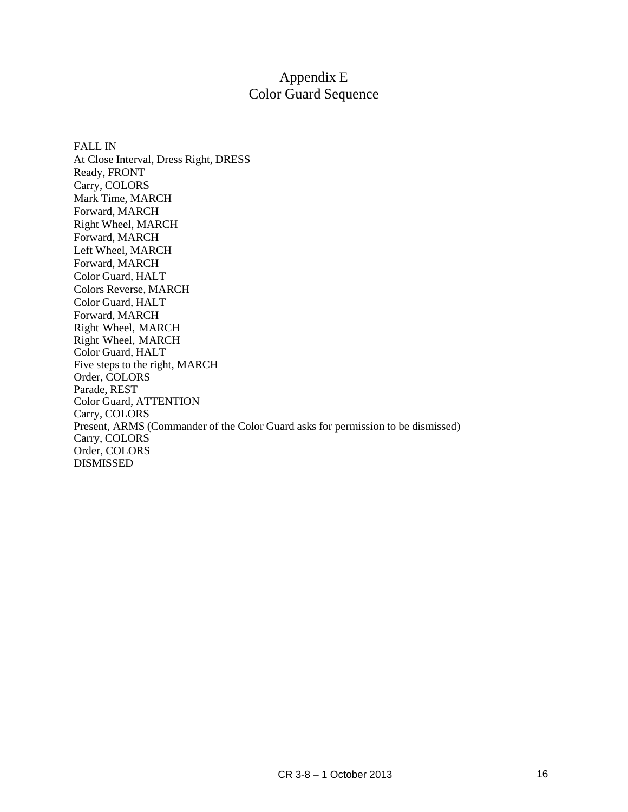# Appendix E Color Guard Sequence

FALL IN At Close Interval, Dress Right, DRESS Ready, FRONT Carry, COLORS Mark Time, MARCH Forward, MARCH Right Wheel, MARCH Forward, MARCH Left Wheel, MARCH Forward, MARCH Color Guard, HALT Colors Reverse, MARCH Color Guard, HALT Forward, MARCH Right Wheel, MARCH Right Wheel, MARCH Color Guard, HALT Five steps to the right, MARCH Order, COLORS Parade, REST Color Guard, ATTENTION Carry, COLORS Present, ARMS (Commander of the Color Guard asks for permission to be dismissed) Carry, COLORS Order, COLORS DISMISSED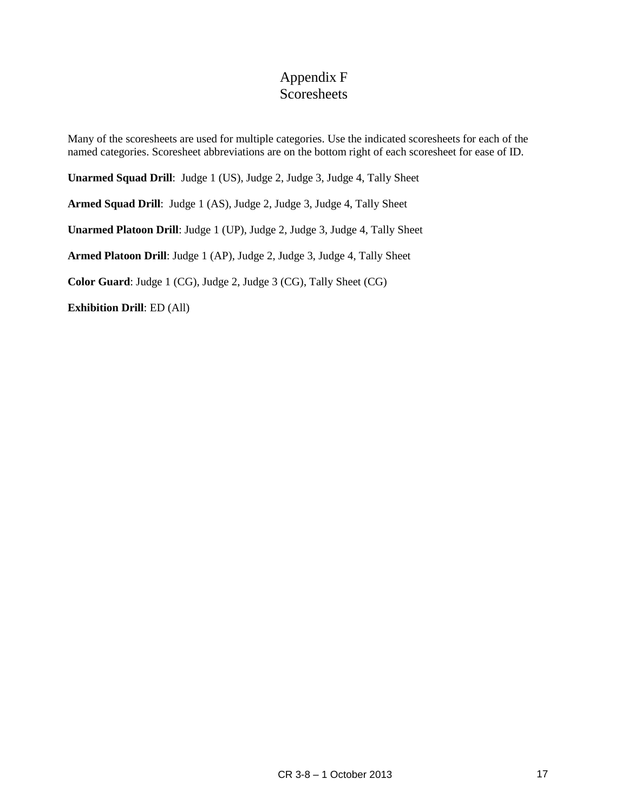# Appendix F **Scoresheets**

Many of the scoresheets are used for multiple categories. Use the indicated scoresheets for each of the named categories. Scoresheet abbreviations are on the bottom right of each scoresheet for ease of ID.

**Unarmed Squad Drill**: Judge 1 (US), Judge 2, Judge 3, Judge 4, Tally Sheet

**Armed Squad Drill**: Judge 1 (AS), Judge 2, Judge 3, Judge 4, Tally Sheet

**Unarmed Platoon Drill**: Judge 1 (UP), Judge 2, Judge 3, Judge 4, Tally Sheet

**Armed Platoon Drill**: Judge 1 (AP), Judge 2, Judge 3, Judge 4, Tally Sheet

**Color Guard**: Judge 1 (CG), Judge 2, Judge 3 (CG), Tally Sheet (CG)

**Exhibition Drill**: ED (All)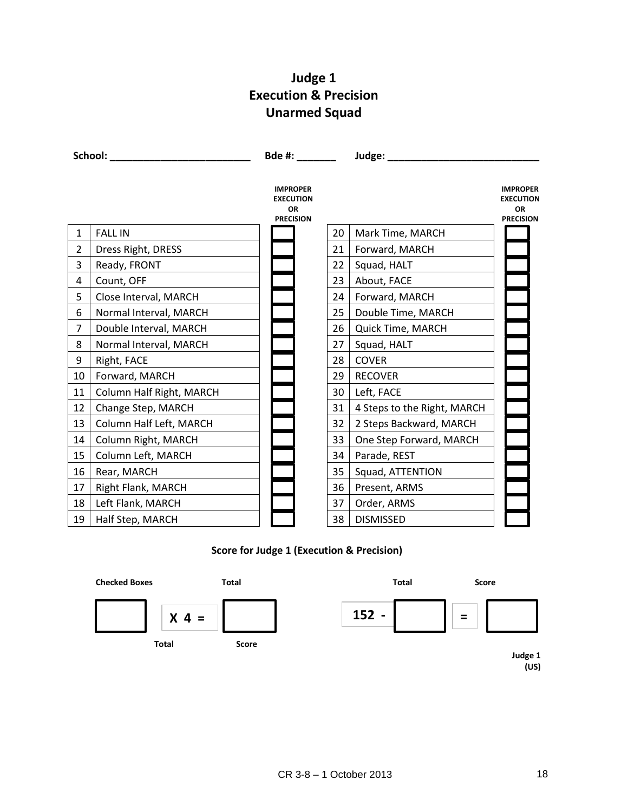# **Judge 1 Execution & Precision Unarmed Squad**

|                |                          |                                                               | Bde #: _______<br>Judge: ________ |                             |                                                                      |
|----------------|--------------------------|---------------------------------------------------------------|-----------------------------------|-----------------------------|----------------------------------------------------------------------|
|                |                          | <b>IMPROPER</b><br><b>EXECUTION</b><br>OR<br><b>PRECISION</b> |                                   |                             | <b>IMPROPER</b><br><b>EXECUTION</b><br><b>OR</b><br><b>PRECISION</b> |
| $\mathbf{1}$   | <b>FALL IN</b>           |                                                               | 20                                | Mark Time, MARCH            |                                                                      |
| $\overline{2}$ | Dress Right, DRESS       |                                                               | 21                                | Forward, MARCH              |                                                                      |
| 3              | Ready, FRONT             |                                                               | 22                                | Squad, HALT                 |                                                                      |
| 4              | Count, OFF               |                                                               | 23                                | About, FACE                 |                                                                      |
| 5              | Close Interval, MARCH    |                                                               | 24                                | Forward, MARCH              |                                                                      |
| 6              | Normal Interval, MARCH   |                                                               | 25                                | Double Time, MARCH          |                                                                      |
| 7              | Double Interval, MARCH   |                                                               | 26                                | Quick Time, MARCH           |                                                                      |
| 8              | Normal Interval, MARCH   |                                                               | 27                                | Squad, HALT                 |                                                                      |
| 9              | Right, FACE              |                                                               | 28                                | <b>COVER</b>                |                                                                      |
| 10             | Forward, MARCH           |                                                               | 29                                | <b>RECOVER</b>              |                                                                      |
| 11             | Column Half Right, MARCH |                                                               | 30                                | Left, FACE                  |                                                                      |
| 12             | Change Step, MARCH       |                                                               | 31                                | 4 Steps to the Right, MARCH |                                                                      |
| 13             | Column Half Left, MARCH  |                                                               | 32                                | 2 Steps Backward, MARCH     |                                                                      |
| 14             | Column Right, MARCH      |                                                               | 33                                | One Step Forward, MARCH     |                                                                      |
| 15             | Column Left, MARCH       |                                                               | 34                                | Parade, REST                |                                                                      |
| 16             | Rear, MARCH              |                                                               | 35                                | Squad, ATTENTION            |                                                                      |
| 17             | Right Flank, MARCH       |                                                               | 36                                | Present, ARMS               |                                                                      |
| 18             | Left Flank, MARCH        |                                                               | 37                                | Order, ARMS                 |                                                                      |
| 19             | Half Step, MARCH         |                                                               | 38                                | <b>DISMISSED</b>            |                                                                      |

# **Score for Judge 1 (Execution & Precision)**



**(US)**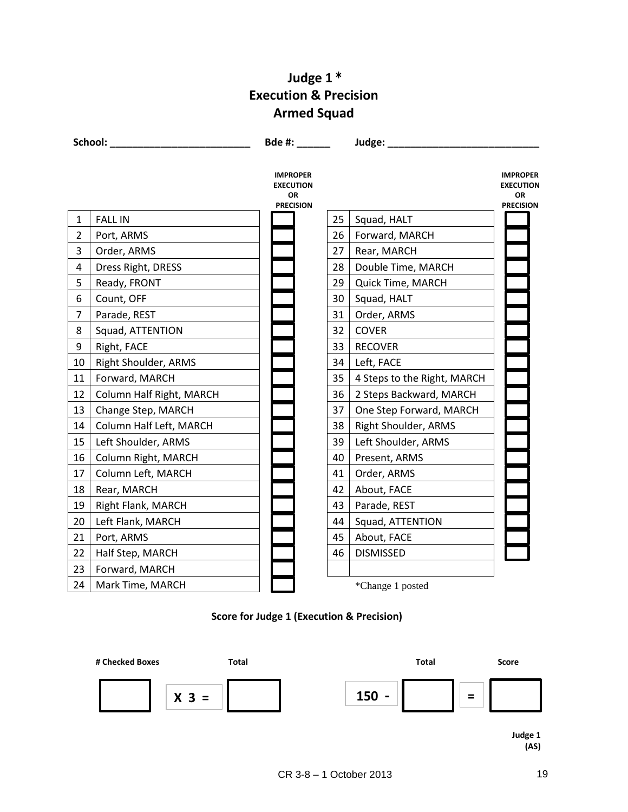# **Judge 1 \* Execution & Precision Armed Squad**

|                | School:                  | Bde #:                                                        |    | Judge:                      |                                                               |
|----------------|--------------------------|---------------------------------------------------------------|----|-----------------------------|---------------------------------------------------------------|
|                |                          | <b>IMPROPER</b><br><b>EXECUTION</b><br>OR<br><b>PRECISION</b> |    |                             | <b>IMPROPER</b><br><b>EXECUTION</b><br>OR<br><b>PRECISION</b> |
| 1              | <b>FALL IN</b>           |                                                               | 25 | Squad, HALT                 |                                                               |
| $\overline{2}$ | Port, ARMS               |                                                               | 26 | Forward, MARCH              |                                                               |
| 3              | Order, ARMS              |                                                               | 27 | Rear, MARCH                 |                                                               |
| 4              | Dress Right, DRESS       |                                                               | 28 | Double Time, MARCH          |                                                               |
| 5              | Ready, FRONT             |                                                               | 29 | Quick Time, MARCH           |                                                               |
| 6              | Count, OFF               |                                                               | 30 | Squad, HALT                 |                                                               |
| $\overline{7}$ | Parade, REST             |                                                               | 31 | Order, ARMS                 |                                                               |
| 8              | Squad, ATTENTION         |                                                               | 32 | <b>COVER</b>                |                                                               |
| 9              | Right, FACE              |                                                               | 33 | <b>RECOVER</b>              |                                                               |
| 10             | Right Shoulder, ARMS     |                                                               | 34 | Left, FACE                  |                                                               |
| 11             | Forward, MARCH           |                                                               | 35 | 4 Steps to the Right, MARCH |                                                               |
| 12             | Column Half Right, MARCH |                                                               | 36 | 2 Steps Backward, MARCH     |                                                               |
| 13             | Change Step, MARCH       |                                                               | 37 | One Step Forward, MARCH     |                                                               |
| 14             | Column Half Left, MARCH  |                                                               | 38 | Right Shoulder, ARMS        |                                                               |
| 15             | Left Shoulder, ARMS      |                                                               | 39 | Left Shoulder, ARMS         |                                                               |
| 16             | Column Right, MARCH      |                                                               | 40 | Present, ARMS               |                                                               |
| 17             | Column Left, MARCH       |                                                               | 41 | Order, ARMS                 |                                                               |
| 18             | Rear, MARCH              |                                                               | 42 | About, FACE                 |                                                               |
| 19             | Right Flank, MARCH       |                                                               | 43 | Parade, REST                |                                                               |
| 20             | Left Flank, MARCH        |                                                               | 44 | Squad, ATTENTION            |                                                               |
| 21             | Port, ARMS               |                                                               | 45 | About, FACE                 |                                                               |
| 22             | Half Step, MARCH         |                                                               | 46 | <b>DISMISSED</b>            |                                                               |
| 23             | Forward, MARCH           |                                                               |    |                             |                                                               |
| 24             | Mark Time, MARCH         |                                                               |    | *Change 1 posted            |                                                               |

# **Score for Judge 1 (Execution & Precision)**

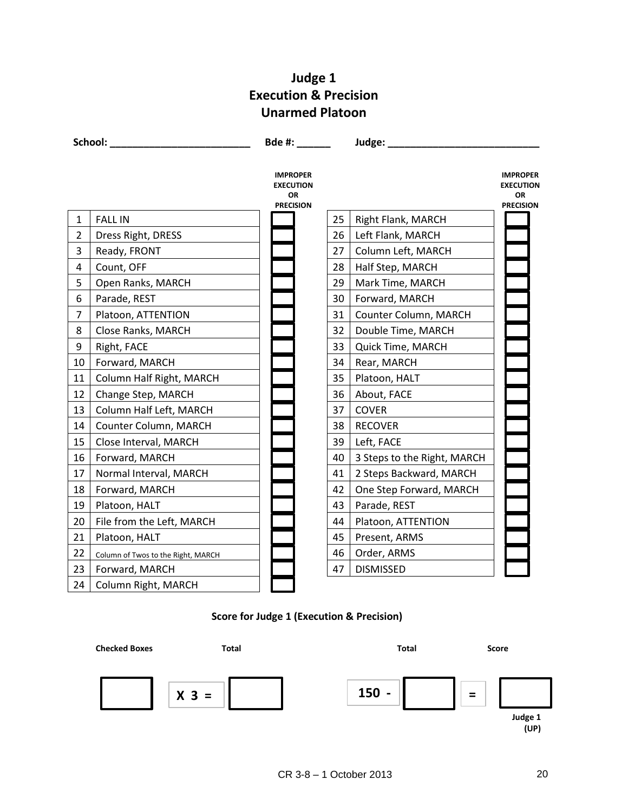# **Judge 1 Execution & Precision Unarmed Platoon**

|                | School: <b>School</b>              | Bde #:                                                        |    | Judge: ________             |                                                               |
|----------------|------------------------------------|---------------------------------------------------------------|----|-----------------------------|---------------------------------------------------------------|
|                |                                    | <b>IMPROPER</b><br><b>EXECUTION</b><br>OR<br><b>PRECISION</b> |    |                             | <b>IMPROPER</b><br><b>EXECUTION</b><br>OR<br><b>PRECISION</b> |
| 1              | <b>FALL IN</b>                     |                                                               | 25 | Right Flank, MARCH          |                                                               |
| $\overline{2}$ | Dress Right, DRESS                 |                                                               | 26 | Left Flank, MARCH           |                                                               |
| 3              | Ready, FRONT                       |                                                               | 27 | Column Left, MARCH          |                                                               |
| 4              | Count, OFF                         |                                                               | 28 | Half Step, MARCH            |                                                               |
| 5              | Open Ranks, MARCH                  |                                                               | 29 | Mark Time, MARCH            |                                                               |
| 6              | Parade, REST                       |                                                               | 30 | Forward, MARCH              |                                                               |
| $\overline{7}$ | Platoon, ATTENTION                 |                                                               | 31 | Counter Column, MARCH       |                                                               |
| 8              | Close Ranks, MARCH                 |                                                               | 32 | Double Time, MARCH          |                                                               |
| 9              | Right, FACE                        |                                                               | 33 | Quick Time, MARCH           |                                                               |
| 10             | Forward, MARCH                     |                                                               | 34 | Rear, MARCH                 |                                                               |
| 11             | Column Half Right, MARCH           |                                                               | 35 | Platoon, HALT               |                                                               |
| 12             | Change Step, MARCH                 |                                                               | 36 | About, FACE                 |                                                               |
| 13             | Column Half Left, MARCH            |                                                               | 37 | <b>COVER</b>                |                                                               |
| 14             | Counter Column, MARCH              |                                                               | 38 | <b>RECOVER</b>              |                                                               |
| 15             | Close Interval, MARCH              |                                                               | 39 | Left, FACE                  |                                                               |
| 16             | Forward, MARCH                     |                                                               | 40 | 3 Steps to the Right, MARCH |                                                               |
| 17             | Normal Interval, MARCH             |                                                               | 41 | 2 Steps Backward, MARCH     |                                                               |
| 18             | Forward, MARCH                     |                                                               | 42 | One Step Forward, MARCH     |                                                               |
| 19             | Platoon, HALT                      |                                                               | 43 | Parade, REST                |                                                               |
| 20             | File from the Left, MARCH          |                                                               | 44 | Platoon, ATTENTION          |                                                               |
| 21             | Platoon, HALT                      |                                                               | 45 | Present, ARMS               |                                                               |
| 22             | Column of Twos to the Right, MARCH |                                                               | 46 | Order, ARMS                 |                                                               |
| 23             | Forward, MARCH                     |                                                               | 47 | <b>DISMISSED</b>            |                                                               |
| 24             | Column Right, MARCH                |                                                               |    |                             |                                                               |

# **Score for Judge 1 (Execution & Precision)**

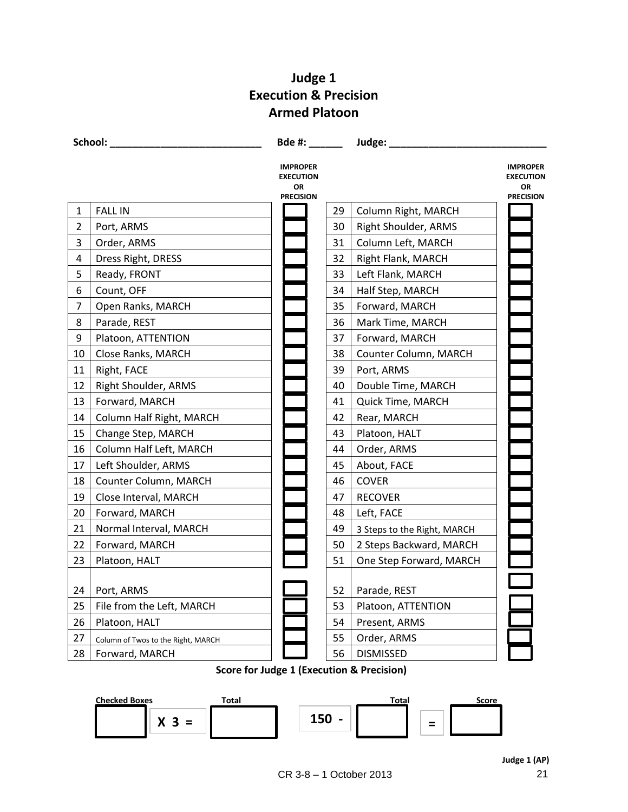# **Judge 1 Execution & Precision Armed Platoon**

|                | School:                            | Bde #: ______                             |    | Judge:                      |                                           |
|----------------|------------------------------------|-------------------------------------------|----|-----------------------------|-------------------------------------------|
|                |                                    | <b>IMPROPER</b><br><b>EXECUTION</b><br>OR |    |                             | <b>IMPROPER</b><br><b>EXECUTION</b><br>OR |
| $\mathbf{1}$   | <b>FALL IN</b>                     | <b>PRECISION</b>                          | 29 | Column Right, MARCH         | <b>PRECISION</b>                          |
| $\overline{2}$ | Port, ARMS                         |                                           | 30 | Right Shoulder, ARMS        |                                           |
| 3              | Order, ARMS                        |                                           | 31 | Column Left, MARCH          |                                           |
| 4              | Dress Right, DRESS                 |                                           | 32 | Right Flank, MARCH          |                                           |
| 5              | Ready, FRONT                       |                                           | 33 | Left Flank, MARCH           |                                           |
| 6              | Count, OFF                         |                                           | 34 | Half Step, MARCH            |                                           |
| $\overline{7}$ | Open Ranks, MARCH                  |                                           | 35 | Forward, MARCH              |                                           |
| 8              | Parade, REST                       |                                           | 36 | Mark Time, MARCH            |                                           |
| 9              | Platoon, ATTENTION                 |                                           | 37 | Forward, MARCH              |                                           |
| 10             | Close Ranks, MARCH                 |                                           | 38 | Counter Column, MARCH       |                                           |
| 11             | Right, FACE                        |                                           | 39 | Port, ARMS                  |                                           |
| 12             | Right Shoulder, ARMS               |                                           | 40 | Double Time, MARCH          |                                           |
| 13             | Forward, MARCH                     |                                           | 41 | Quick Time, MARCH           |                                           |
| 14             | Column Half Right, MARCH           |                                           | 42 | Rear, MARCH                 |                                           |
| 15             | Change Step, MARCH                 |                                           | 43 | Platoon, HALT               |                                           |
| 16             | Column Half Left, MARCH            |                                           | 44 | Order, ARMS                 |                                           |
| 17             | Left Shoulder, ARMS                |                                           | 45 | About, FACE                 |                                           |
| 18             | Counter Column, MARCH              |                                           | 46 | <b>COVER</b>                |                                           |
| 19             | Close Interval, MARCH              |                                           | 47 | <b>RECOVER</b>              |                                           |
| 20             | Forward, MARCH                     |                                           | 48 | Left, FACE                  |                                           |
| 21             | Normal Interval, MARCH             |                                           | 49 | 3 Steps to the Right, MARCH |                                           |
| 22             | Forward, MARCH                     |                                           | 50 | 2 Steps Backward, MARCH     |                                           |
| 23             | Platoon, HALT                      |                                           | 51 | One Step Forward, MARCH     |                                           |
| 24             | Port, ARMS                         |                                           | 52 | Parade, REST                |                                           |
| 25             | File from the Left, MARCH          |                                           | 53 | Platoon, ATTENTION          |                                           |
| 26             | Platoon, HALT                      |                                           | 54 | Present, ARMS               |                                           |
| 27             | Column of Twos to the Right, MARCH |                                           | 55 | Order, ARMS                 |                                           |
| 28             | Forward, MARCH                     |                                           | 56 | <b>DISMISSED</b>            |                                           |

#### **Score for Judge 1 (Execution & Precision)**

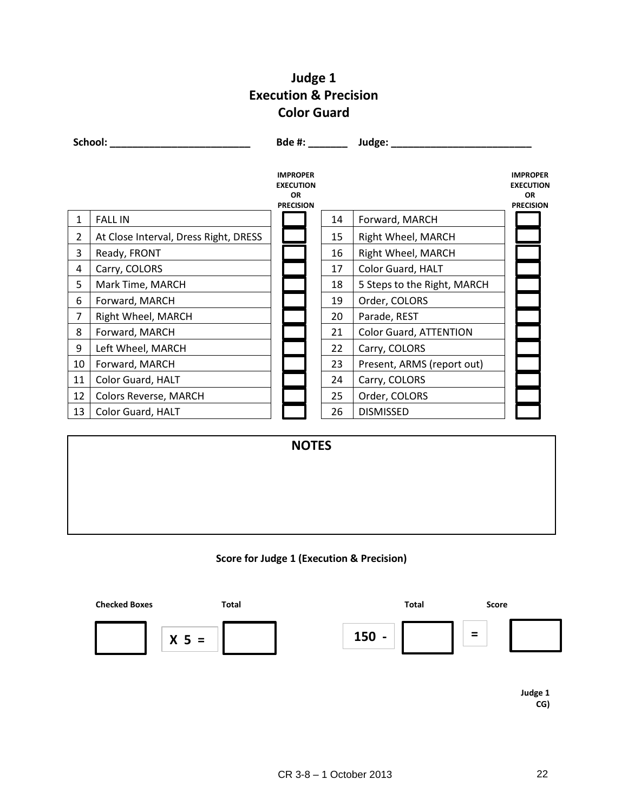# **Judge 1 Execution & Precision Color Guard**

**School: \_\_\_\_\_\_\_\_\_\_\_\_\_\_\_\_\_\_\_\_\_\_\_\_\_ Bde #: \_\_\_\_\_\_\_ Judge: \_\_\_\_\_\_\_\_\_\_\_\_\_\_\_\_\_\_\_\_\_\_\_\_\_ IMPROPER EXECUTION OR PRECISION IMPROPER EXECUTION OR PRECISION** 1 | FALL IN 14 | Forward, MARCH 2 | At Close Interval, Dress Right, DRESS | | | 15 | Right Wheel, MARCH 3 Ready, FRONT 16 Right Wheel, MARCH 4 Carry, COLORS 17 | Color Guard, HALT 5 | Mark Time, MARCH | | | | | | | | 18 | 5 Steps to the Right, MARCH 6 | Forward, MARCH | | | | | | | | | | Order, COLORS 7 Right Wheel, MARCH 20 Parade, REST 8 | Forward, MARCH | | | | | | | | | | | | | | Color Guard, ATTENTION 9 Left Wheel, MARCH 22 | Carry, COLORS 10 Forward, MARCH 23 Present, ARMS (report out) 11 | Color Guard, HALT | | | | | | | | | | | | Carry, COLORS 12 | Colors Reverse, MARCH | | | | | | | 25 | Order, COLORS 13 | Color Guard, HALT | | | | | | | | | | | | DISMISSED **NOTES**

#### **Score for Judge 1 (Execution & Precision)**



**Judge 1 CG)**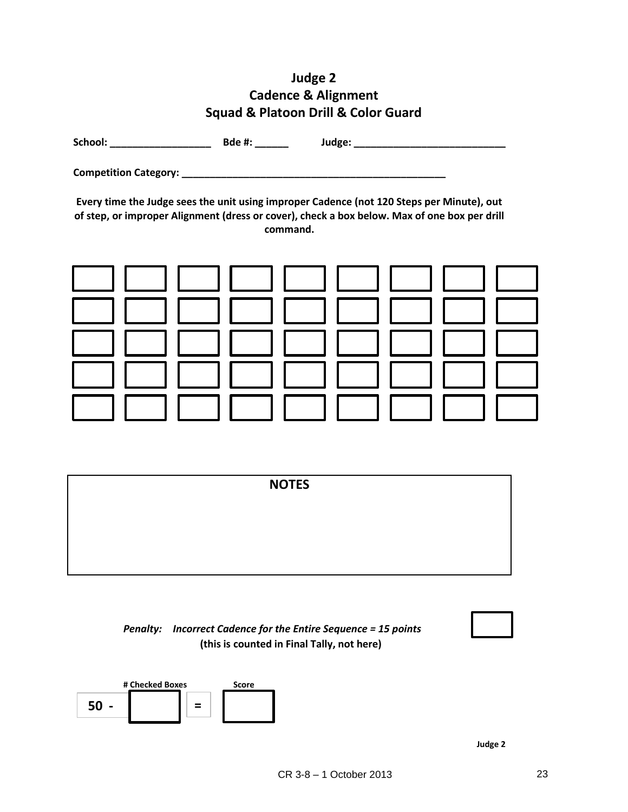# **Judge 2 Cadence & Alignment Squad & Platoon Drill & Color Guard**

**School: \_\_\_\_\_\_\_\_\_\_\_\_\_\_\_\_\_\_ Bde #: \_\_\_\_\_\_ Judge: \_\_\_\_\_\_\_\_\_\_\_\_\_\_\_\_\_\_\_\_\_\_\_\_\_\_\_**

**Competition Category: \_\_\_\_\_\_\_\_\_\_\_\_\_\_\_\_\_\_\_\_\_\_\_\_\_\_\_\_\_\_\_\_\_\_\_\_\_\_\_\_\_\_\_\_\_\_\_**

**Every time the Judge sees the unit using improper Cadence (not 120 Steps per Minute), out of step, or improper Alignment (dress or cover), check a box below. Max of one box per drill command.**



|  | <b>NOTES</b> |  |
|--|--------------|--|
|  |              |  |
|  |              |  |
|  |              |  |

# *Penalty: Incorrect Cadence for the Entire Sequence = 15 points* **(this is counted in Final Tally, not here)**



**# Checked Boxes Score**  $50 - | | | =$ 

**Judge 2**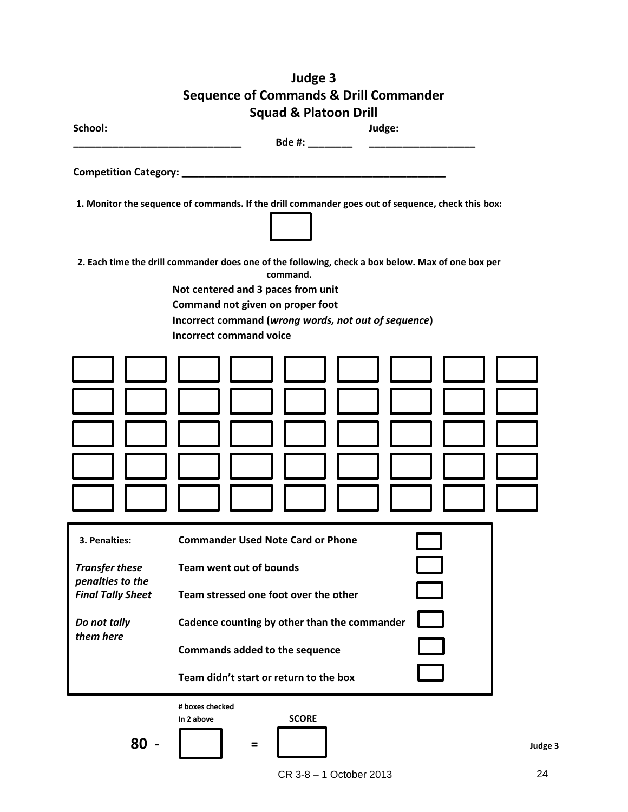|                                                                                                    | Judge 3                                                                                                                                                                                                                                                                           |         |
|----------------------------------------------------------------------------------------------------|-----------------------------------------------------------------------------------------------------------------------------------------------------------------------------------------------------------------------------------------------------------------------------------|---------|
|                                                                                                    | <b>Sequence of Commands &amp; Drill Commander</b>                                                                                                                                                                                                                                 |         |
|                                                                                                    | <b>Squad &amp; Platoon Drill</b>                                                                                                                                                                                                                                                  |         |
| School:                                                                                            | Judge:                                                                                                                                                                                                                                                                            |         |
|                                                                                                    |                                                                                                                                                                                                                                                                                   |         |
| Competition Category: _________                                                                    |                                                                                                                                                                                                                                                                                   |         |
|                                                                                                    | 1. Monitor the sequence of commands. If the drill commander goes out of sequence, check this box:                                                                                                                                                                                 |         |
|                                                                                                    | 2. Each time the drill commander does one of the following, check a box below. Max of one box per<br>command.<br>Not centered and 3 paces from unit<br>Command not given on proper foot<br>Incorrect command (wrong words, not out of sequence)<br><b>Incorrect command voice</b> |         |
|                                                                                                    |                                                                                                                                                                                                                                                                                   |         |
| 3. Penalties:                                                                                      | <b>Commander Used Note Card or Phone</b>                                                                                                                                                                                                                                          |         |
| <b>Transfer these</b><br>penalties to the<br><b>Final Tally Sheet</b><br>Do not tally<br>them here | <b>Team went out of bounds</b><br>Team stressed one foot over the other<br>Cadence counting by other than the commander<br>Commands added to the sequence<br>Team didn't start or return to the box<br># boxes checked                                                            |         |
| $80 -$                                                                                             | <b>SCORE</b><br>In 2 above<br>$=$                                                                                                                                                                                                                                                 | Judge 3 |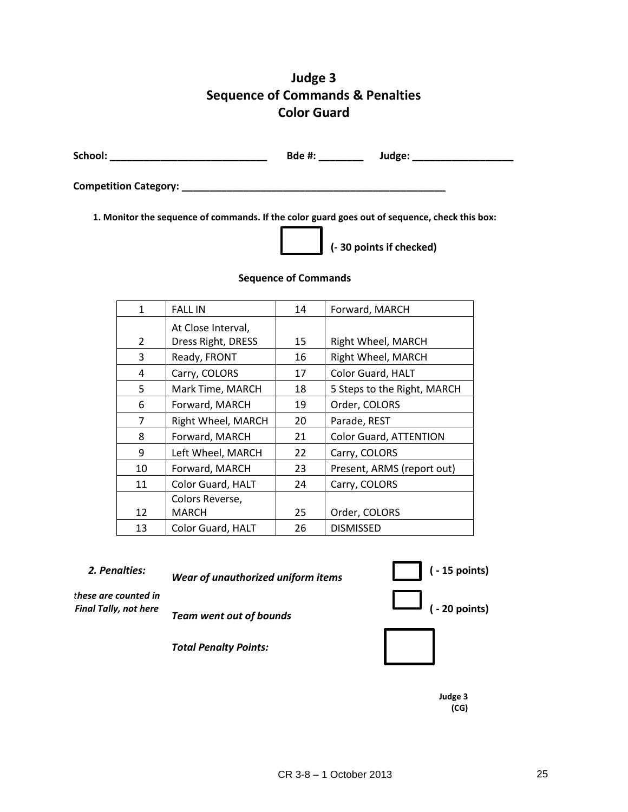# **Judge 3 Sequence of Commands & Penalties Color Guard**

| School: | Bde #: | Judge: |
|---------|--------|--------|
|         |        |        |

**Competition Category: \_\_\_\_\_\_\_\_\_\_\_\_\_\_\_\_\_\_\_\_\_\_\_\_\_\_\_\_\_\_\_\_\_\_\_\_\_\_\_\_\_\_\_\_\_\_\_**

**1. Monitor the sequence of commands. If the color guard goes out of sequence, check this box:**



**(- 30 points if checked)**

#### **Sequence of Commands**

| $\mathbf{1}$  | <b>FALL IN</b>     | 14 | Forward, MARCH              |
|---------------|--------------------|----|-----------------------------|
|               | At Close Interval, |    |                             |
| $\mathcal{P}$ | Dress Right, DRESS | 15 | Right Wheel, MARCH          |
| 3             | Ready, FRONT       | 16 | Right Wheel, MARCH          |
| 4             | Carry, COLORS      | 17 | Color Guard, HALT           |
| 5             | Mark Time, MARCH   | 18 | 5 Steps to the Right, MARCH |
| 6             | Forward, MARCH     | 19 | Order, COLORS               |
| 7             | Right Wheel, MARCH | 20 | Parade, REST                |
| 8             | Forward, MARCH     | 21 | Color Guard, ATTENTION      |
| 9             | Left Wheel, MARCH  | 22 | Carry, COLORS               |
| 10            | Forward, MARCH     | 23 | Present, ARMS (report out)  |
| 11            | Color Guard, HALT  | 24 | Carry, COLORS               |
|               | Colors Reverse,    |    |                             |
| 12            | MARCH              | 25 | Order, COLORS               |
| 13            | Color Guard, HALT  | 26 | <b>DISMISSED</b>            |

*2. Penalties: Wear of unauthorized uniform items* **( - 15 points)**

*these are counted in* 



*Total Penalty Points:* 

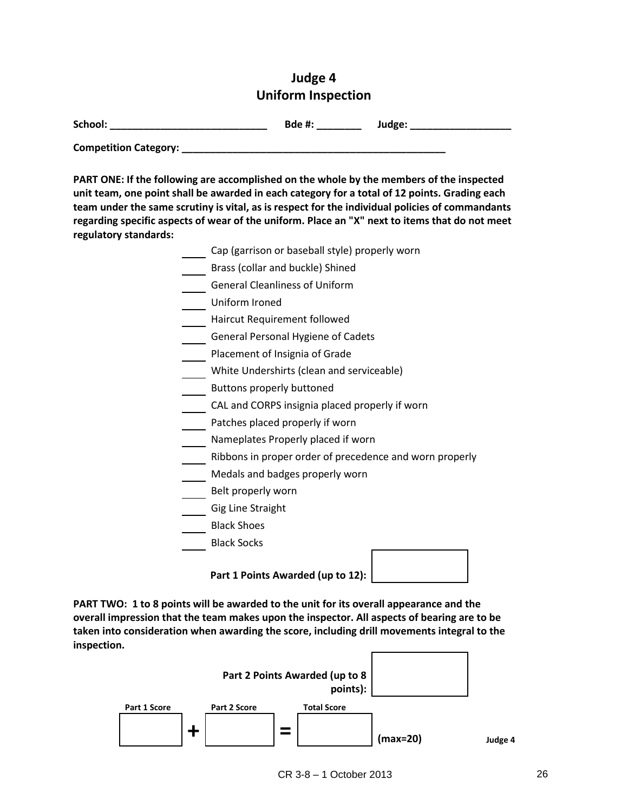# **Judge 4 Uniform Inspection**

| School:                      | <b>Bde #:</b> | Judge: |
|------------------------------|---------------|--------|
| <b>Competition Category:</b> |               |        |

**PART ONE: If the following are accomplished on the whole by the members of the inspected unit team, one point shall be awarded in each category for a total of 12 points. Grading each team under the same scrutiny is vital, as is respect for the individual policies of commandants** 

**regarding specific aspects of wear of the uniform. Place an "X" next to items that do not meet regulatory standards:** Cap (garrison or baseball style) properly worn Brass (collar and buckle) Shined General Cleanliness of Uniform Uniform Ironed Haircut Requirement followed General Personal Hygiene of Cadets Placement of Insignia of Grade White Undershirts (clean and serviceable) **Buttons properly buttoned** CAL and CORPS insignia placed properly if worn Patches placed properly if worn Nameplates Properly placed if worn Ribbons in proper order of precedence and worn properly Medals and badges properly worn Belt properly worn Gig Line Straight Black Shoes Black Socks

**Part 1 Points Awarded (up to 12):**

**PART TWO: 1 to 8 points will be awarded to the unit for its overall appearance and the overall impression that the team makes upon the inspector. All aspects of bearing are to be taken into consideration when awarding the score, including drill movements integral to the inspection.**

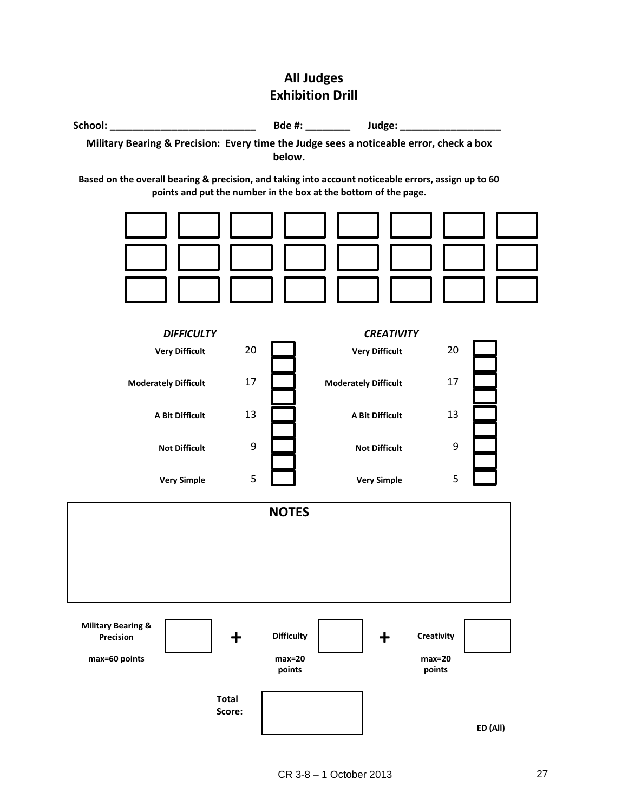# **All Judges Exhibition Drill**

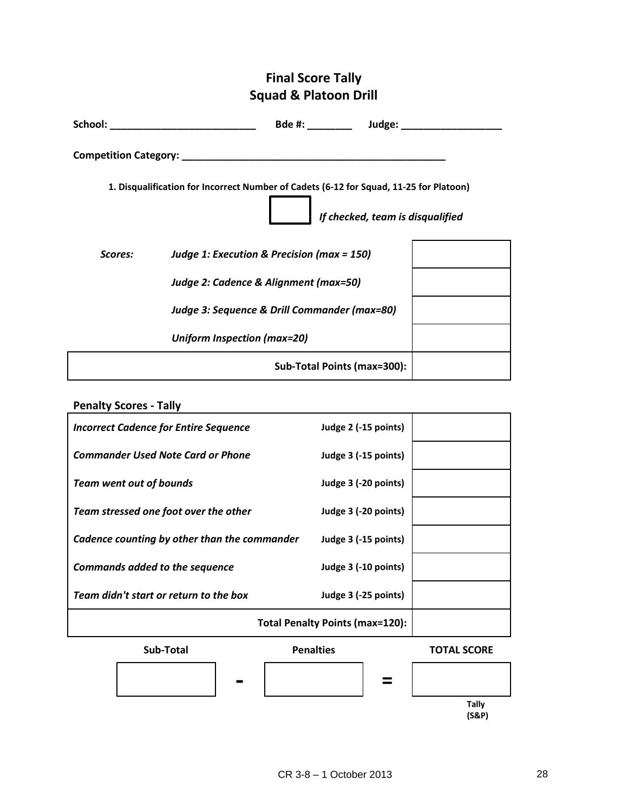# **Final Score Tally Squad & Platoon Drill**

| School:                      |                                                                                        | Bde #: ____________ Judge: __    |  |
|------------------------------|----------------------------------------------------------------------------------------|----------------------------------|--|
| <b>Competition Category:</b> |                                                                                        |                                  |  |
|                              | 1. Disqualification for Incorrect Number of Cadets (6-12 for Squad, 11-25 for Platoon) | If checked, team is disqualified |  |
| <b>Scores:</b>               | Judge 1: Execution & Precision (max = 150)                                             |                                  |  |
|                              | Judge 2: Cadence & Alignment (max=50)                                                  |                                  |  |
|                              | Judge 3: Sequence & Drill Commander (max=80)                                           |                                  |  |
|                              | <b>Uniform Inspection (max=20)</b>                                                     |                                  |  |
|                              |                                                                                        | Sub-Total Points (max=300):      |  |

# **Penalty Scores - Tally**

| <b>Incorrect Cadence for Entire Sequence</b> | Judge 2 (-15 points)            |  |
|----------------------------------------------|---------------------------------|--|
| <b>Commander Used Note Card or Phone</b>     | Judge 3 (-15 points)            |  |
| <b>Team went out of bounds</b>               | Judge 3 (-20 points)            |  |
| Team stressed one foot over the other        | Judge 3 (-20 points)            |  |
| Cadence counting by other than the commander | Judge 3 (-15 points)            |  |
| <b>Commands added to the sequence</b>        | Judge 3 (-10 points)            |  |
| Team didn't start or return to the box       | Judge 3 (-25 points)            |  |
|                                              | Total Penalty Points (max=120): |  |